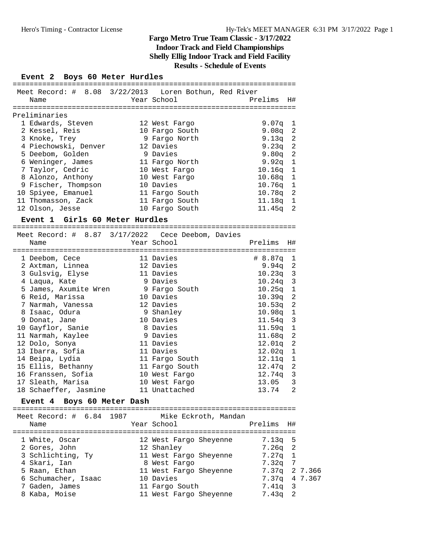## **Event 2 Boys 60 Meter Hurdles**

|                                       |                          | Meet Record: # 8.08 3/22/2013 Loren Bothun, Red River               |                         |                |         |
|---------------------------------------|--------------------------|---------------------------------------------------------------------|-------------------------|----------------|---------|
| Name                                  |                          | Year School                                                         | Prelims                 | H#             |         |
|                                       |                          |                                                                     |                         |                |         |
| Preliminaries                         |                          |                                                                     |                         |                |         |
| 1 Edwards, Steven                     |                          | 12 West Fargo                                                       | 9.07q                   | 1              |         |
| 2 Kessel, Reis                        |                          | 10 Fargo South                                                      | 9.08q                   | 2              |         |
| 3 Knoke, Trey                         |                          | 9 Fargo North                                                       | 9.13q                   | 2              |         |
| 4 Piechowski, Denver                  |                          | 12 Davies                                                           | 9.23q                   | $\overline{2}$ |         |
| 5 Deebom, Golden                      |                          | 9 Davies                                                            | 9.80 <sub>q</sub>       | 2              |         |
| 6 Weninger, James                     |                          | 11 Fargo North                                                      | 9.92q                   | 1              |         |
| 7 Taylor, Cedric                      |                          | 10 West Fargo                                                       | 10.16q                  | $\mathbf 1$    |         |
| 8 Alonzo, Anthony                     |                          | 10 West Fargo                                                       | 10.68q                  | $\mathbf 1$    |         |
| 9 Fischer, Thompson                   |                          | 10 Davies                                                           | 10.76q                  | $\mathbf{1}$   |         |
| 10 Spiyee, Emanuel                    |                          | 11 Fargo South                                                      | 10.78q                  | 2              |         |
| 11 Thomasson, Zack                    |                          | 11 Fargo South                                                      | 11.18q                  | $\mathbf{1}$   |         |
| 12 Olson, Jesse                       |                          | 10 Fargo South                                                      | 11.45q                  | 2              |         |
| Event 1 Girls 60 Meter Hurdles        |                          |                                                                     |                         |                |         |
|                                       |                          |                                                                     |                         |                |         |
| Name                                  |                          | Meet Record: $\#$ 8.87 3/17/2022 Cece Deebom, Davies<br>Year School | Prelims                 | H#             |         |
|                                       |                          |                                                                     |                         |                |         |
| 1 Deebom, Cece                        |                          | 11 Davies                                                           | # 8.87q                 | 1              |         |
| 2 Axtman, Linnea                      |                          | 12 Davies                                                           | 9.94q                   | 2              |         |
| 3 Gulsvig, Elyse                      |                          | 11 Davies                                                           | 10.23q                  | 3              |         |
| 4 Laqua, Kate                         |                          | 9 Davies                                                            | $10.24$ q               | 3              |         |
| 5 James, Axumite Wren                 |                          | 9 Fargo South                                                       | 10.25q                  | $\mathbf 1$    |         |
| 6 Reid, Marissa                       |                          | 10 Davies                                                           | 10.39q                  | 2              |         |
| 7 Narmah, Vanessa                     |                          | 12 Davies                                                           | 10.53q                  | $\overline{c}$ |         |
| 8 Isaac, Odura                        |                          | 9 Shanley                                                           | 10.98q                  | $1\,$          |         |
| 9 Donat, Jane                         |                          | 10 Davies                                                           | 11.54q                  | 3              |         |
| 10 Gayflor, Sanie                     |                          | 8 Davies                                                            | 11.59q                  | 1              |         |
| 11 Narmah, Kaylee                     |                          | 9 Davies                                                            | 11.68q                  | 2              |         |
| 12 Dolo, Sonya                        |                          | 11 Davies                                                           | 12.01q                  | 2              |         |
| 13 Ibarra, Sofia                      |                          | 11 Davies                                                           | 12.02q                  | 1              |         |
| 14 Beipa, Lydia                       |                          | 11 Fargo South                                                      | 12.11q                  | $\mathbf 1$    |         |
| 15 Ellis, Bethanny                    |                          | 11 Fargo South                                                      | 12.47q                  | 2              |         |
| 16 Franssen, Sofia                    |                          | 10 West Fargo                                                       | 12.74q                  | 3              |         |
| 17 Sleath, Marisa                     |                          | 10 West Fargo                                                       | 13.05                   | 3              |         |
| 18 Schaeffer, Jasmine                 |                          | 11 Unattached                                                       | 13.74                   | $\overline{2}$ |         |
| Event 4 Boys 60 Meter Dash            |                          |                                                                     |                         |                |         |
| ==============<br>Meet Record: # 6.84 | ================<br>1987 | ==========<br>Mike Eckroth, Mandan                                  | ----------------------- |                |         |
| Name                                  |                          | Year School                                                         | Prelims                 | H#             |         |
|                                       |                          |                                                                     |                         |                |         |
| 1 White, Oscar                        |                          | 12 West Fargo Sheyenne                                              | 7.13q                   | 5              |         |
| 2 Gores, John                         |                          | 12 Shanley                                                          | 7.26q                   | 2              |         |
| 3 Schlichting, Ty                     |                          | 11 West Fargo Sheyenne                                              | 7.27q                   | $\mathbf 1$    |         |
| 4 Skari, Ian                          |                          | 8 West Fargo                                                        | 7.32q                   | 7              |         |
| 5 Raan, Ethan                         |                          | 11 West Fargo Sheyenne                                              | 7.37q                   |                | 2 7.366 |
| 6 Schumacher, Isaac                   |                          | 10 Davies                                                           | 7.37q                   |                | 4 7.367 |
| 7 Gaden, James                        |                          | 11 Fargo South                                                      | 7.41q                   | 3              |         |
| 8 Kaba, Moise                         |                          | 11 West Fargo Sheyenne                                              | 7.43q                   | 2              |         |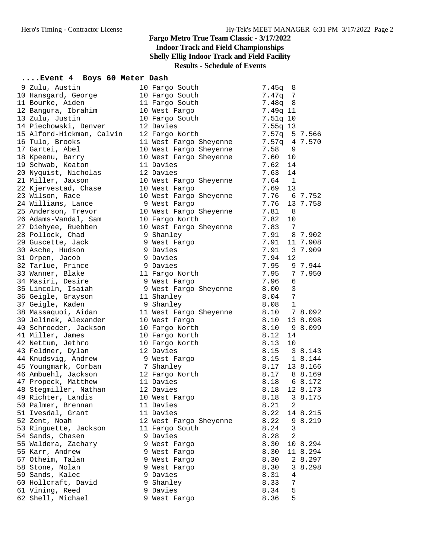### **....Event 4 Boys 60 Meter Dash**

| 9 Zulu, Austin            | 10 Fargo South         | $7.45q$ 8    |                          |               |
|---------------------------|------------------------|--------------|--------------------------|---------------|
| 10 Hansgard, George       | 10 Fargo South         | 7.47q        | 7                        |               |
| 11 Bourke, Aiden          | 11 Fargo South         | $7.48q$ 8    |                          |               |
| 12 Bangura, Ibrahim       | 10 West Fargo          | 7.49q 11     |                          |               |
| 13 Zulu, Justin           | 10 Fargo South         | 7.51q 10     |                          |               |
| 14 Piechowski, Denver     | 12 Davies              | 7.55q 13     |                          |               |
| 15 Alford-Hickman, Calvin | 12 Fargo North         |              |                          | 7.57q 5 7.566 |
| 16 Tulo, Brooks           | 11 West Fargo Sheyenne |              |                          | 7.57q 4 7.570 |
| 17 Gartei, Abel           | 10 West Fargo Sheyenne | 7.58         | 9                        |               |
| 18 Kpeenu, Barry          | 10 West Fargo Sheyenne | 7.60         | 10                       |               |
| 19 Schwab, Keaton         | 11 Davies              | 7.62         | 14                       |               |
| 20 Nyquist, Nicholas      | 12 Davies              | 7.63         | 14                       |               |
| 21 Miller, Jaxson         | 10 West Fargo Sheyenne | 7.64         | $\overline{\phantom{a}}$ |               |
| 22 Kjervestad, Chase      | 10 West Fargo          | 7.69         | 13                       |               |
| 23 Wilson, Race           | 10 West Fargo Sheyenne | 7.76         |                          | 6 7.752       |
| 24 Williams, Lance        | 9 West Fargo           | 7.76         |                          | 13 7.758      |
| 25 Anderson, Trevor       | 10 West Fargo Sheyenne | 7.81         | 8                        |               |
| 26 Adams-Vandal, Sam      | 10 Fargo North         | 7.82         | 10                       |               |
| 27 Diehyee, Ruebben       | 10 West Fargo Sheyenne | 7.83         | -7                       |               |
| 28 Pollock, Chad          | 9 Shanley              | 7.91         |                          | 8 7.902       |
| 29 Guscette, Jack         | 9 West Fargo           | 7.91         |                          | 11 7.908      |
| 30 Asche, Hudson          |                        | 7.91         |                          |               |
|                           | 9 Davies<br>9 Davies   |              |                          | 3 7.909       |
| 31 Orpen, Jacob           | 9 Davies               | 7.94         | 12                       |               |
| 32 Tarlue, Prince         |                        | 7.95<br>7.95 |                          | 97.944        |
| 33 Wanner, Blake          | 11 Fargo North         |              |                          | 7 7.950       |
| 34 Masiri, Desire         | 9 West Fargo           | 7.96         | 6                        |               |
| 35 Lincoln, Isaiah        | 9 West Fargo Sheyenne  | 8.00         | 3                        |               |
| 36 Geigle, Grayson        | 11 Shanley             | 8.04         | 7                        |               |
| 37 Geigle, Kaden          | 9 Shanley              | 8.08         | 1                        |               |
| 38 Massaquoi, Aidan       | 11 West Fargo Sheyenne | 8.10         |                          | 7 8.092       |
| 39 Jelinek, Alexander     | 10 West Fargo          | 8.10         |                          | 13 8.098      |
| 40 Schroeder, Jackson     | 10 Fargo North         | 8.10         |                          | 9 8.099       |
| 41 Miller, James          | 10 Fargo North         | 8.12         | 14                       |               |
| 42 Nettum, Jethro         | 10 Fargo North         | 8.13         | 10                       |               |
| 43 Feldner, Dylan         | 12 Davies              | 8.15         |                          | 3 8.143       |
| 44 Knudsvig, Andrew       | 9 West Fargo           | 8.15         |                          | 1 8.144       |
| 45 Youngmark, Corban      | 7 Shanley              | 8.17         |                          | 13 8.166      |
| 46 Ambuehl, Jackson       | 12 Fargo North         | 8.17         |                          | 8 8.169       |
| 47 Propeck, Matthew       | 11 Davies              | 8.18         |                          | 6 8.172       |
| 48 Stegmiller, Nathan     | 12 Davies              | 8.18         |                          | 12 8.173      |
| 49 Richter, Landis        | 10 West Fargo          | 8.18         |                          | 3 8.175       |
| 50 Palmer, Brennan        | 11 Davies              | 8.21         | $\overline{2}$           |               |
| 51 Ivesdal, Grant         | 11 Davies              | 8.22         |                          | 14 8.215      |
| 52 Zent, Noah             | 12 West Fargo Sheyenne | 8.22         |                          | 9 8.219       |
| 53 Ringuette, Jackson     | 11 Fargo South         | 8.24         | 3                        |               |
| 54 Sands, Chasen          | 9 Davies               | 8.28         | 2                        |               |
| 55 Waldera, Zachary       | 9 West Fargo           | 8.30         |                          | 10 8.294      |
| 55 Karr, Andrew           | 9 West Fargo           | 8.30         |                          | 11 8.294      |
| 57 Otheim, Talan          | 9 West Fargo           | 8.30         |                          | 2 8.297       |
| 58 Stone, Nolan           | 9 West Fargo           | 8.30         |                          | 3 8.298       |
| 59 Sands, Kalec           | 9 Davies               | 8.31         | 4                        |               |
| 60 Hollcraft, David       | 9 Shanley              | 8.33         | 7                        |               |
| 61 Vining, Reed           | 9 Davies               | 8.34         | 5                        |               |
| 62 Shell, Michael         | 9 West Fargo           | 8.36         | 5                        |               |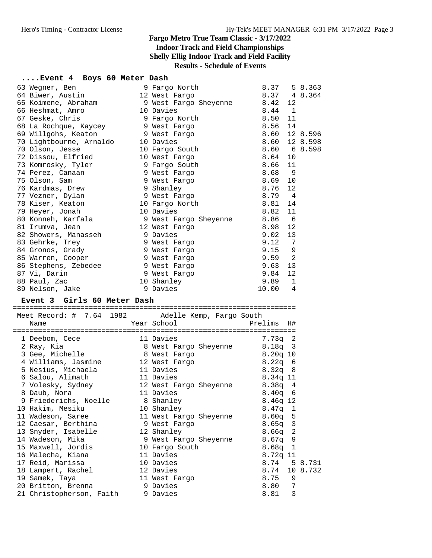# **....Event 4 Boys 60 Meter Dash**<br>3 Wegner, Ben 19 Fargo North

| 63 Wegner, Ben                                 | 9 Fargo North               | 8.37 5 8.363            |
|------------------------------------------------|-----------------------------|-------------------------|
| 64 Biwer, Austin                               | 12 West Fargo               | 8.37 4 8.364            |
| 65 Koimene, Abraham                            | 9 West Fargo Sheyenne       | 8.42<br>12              |
| 66 Heshmat, Amro                               | 10 Davies                   | 8.44 1                  |
| 67 Geske, Chris                                | 9 Fargo North               | 8.50<br>11              |
| 68 La Rochque, Kaycey 9 West Fargo             |                             | 8.56<br>14              |
| 69 Willgohs, Keaton                            | 9 West Fargo                | 8.60<br>12 8.596        |
| 70 Lightbourne, Arnaldo                        | 10 Davies                   | 8.60<br>12 8.598        |
| 70 Olson, Jesse                                | 10 Fargo South              | 8.60 6 8.598            |
| 72 Dissou, Elfried                             | 10 West Fargo               | 8.64<br>10              |
| 73 Komrosky, Tyler                             | 9 Fargo South               | 8.66<br>11              |
| 74 Perez, Canaan                               | 9 West Fargo                | 8.68<br>- 9             |
| 75 Olson, Sam                                  | 9 West Fargo                | 8.69<br>10              |
|                                                |                             | 12<br>8.76              |
| 76 Kardmas, Drew                               | 9 Shanley                   | 8.79 4                  |
| 77 Vezner, Dylan                               | 9 West Fargo                |                         |
| 78 Kiser, Keaton                               | 10 Fargo North              | 8.81<br>14              |
| 79 Heyer, Jonah                                | 10 Davies                   | 8.82<br>11              |
| 80 Konneh, Karfala                             | 9 West Fargo Sheyenne       | 8.86<br>- 6             |
| 81 Irumva, Jean                                | 12 West Fargo               | 12<br>8.98              |
| 82 Showers, Manasseh                           | 9 Davies                    | 9.02<br>13              |
| 83 Gehrke, Trey                                | 9 West Fargo                | 9.12<br>7               |
| 84 Gronos, Grady                               | 9 West Fargo                | $9.15$ 9                |
| 85 Warren, Cooper                              | 9 West Fargo                | $9.59$ 2                |
| 86 Stephens, Zebedee 3 West Fargo              |                             | 9.63<br>13              |
| 87 Vi, Darin                                   | 9 West Fargo                | 9.84<br>12              |
| 88 Paul, Zac                                   | 10 Shanley                  | $9.89$ 1                |
|                                                | 9 Davies                    |                         |
| 89 Nelson, Jake                                |                             | 10.00<br>4              |
|                                                |                             |                         |
| Event 3 Girls 60 Meter Dash                    |                             |                         |
| Meet Record: # 7.64 1982                       | Adelle Kemp, Fargo South    |                         |
| Name                                           | Year School                 | Prelims<br>H#           |
|                                                |                             |                         |
| 1 Deebom, Cece                                 | 11 Davies                   | $7.73q$ 2               |
| 2 Ray, Kia                                     | 8 West Fargo Sheyenne       | $8.18q$ 3               |
| 3 Gee, Michelle                                | 8 West Fargo                | $8.20q$ 10              |
| 4 Williams, Jasmine 12 West Fargo              |                             | $8.22q$ 6               |
| 5 Nesius, Michaela                             | 11 Davies                   | 8.32q 8                 |
| 6 Salou, Alimath                               | 11 Davies                   | 8.34q 11                |
| 7 Volesky, Sydney                              | 12 West Fargo Sheyenne      | $8.38q$ 4               |
| 8 Daub, Nora                                   | 11 Davies                   | $8.40q$ 6               |
| 9 Friederichs, Noelle                          |                             |                         |
| 10 Hakim, Mesiku                               | 8 Shanley<br>10 Shanley     | 8.46q 12<br>8.47q<br>1  |
| 11 Wadeson, Saree                              |                             |                         |
|                                                | 11 West Fargo Sheyenne      | 5<br>8.60q              |
| 12 Caesar, Berthina<br>13 Snyder, Isabelle     | 9 West Fargo<br>12 Shanley  | $8.65q$ 3<br>2<br>8.66q |
|                                                |                             | 9                       |
| 14 Wadeson, Mika                               | 9 West Fargo Sheyenne       | 8.67q                   |
| 15 Maxwell, Jordis                             | 10 Fargo South<br>11 Davies | 8.68q<br>1              |
| 16 Malecha, Kiana                              |                             | 8.72q 11                |
| 17 Reid, Marissa                               | 10 Davies                   | 8.74<br>5 8.731         |
| 18 Lampert, Rachel                             | 12 Davies                   | 8.74<br>10 8.732        |
| 19 Samek, Taya                                 | 11 West Fargo               | 8.75<br>9               |
| 20 Britton, Brenna<br>21 Christopherson, Faith | 9 Davies<br>9 Davies        | 7<br>8.80<br>3<br>8.81  |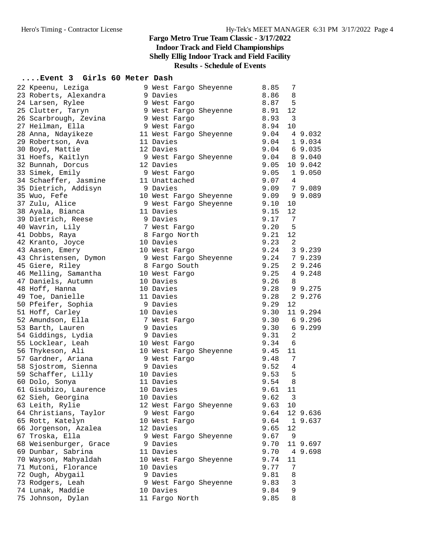#### **....Event 3 Girls 60 Meter Dash**

| 22 Kpeenu, Leziga      | 9 West Fargo Sheyenne  | 8.85<br>7          |
|------------------------|------------------------|--------------------|
| 23 Roberts, Alexandra  | 9 Davies               | 8.86<br>8          |
| 24 Larsen, Rylee       | 9 West Fargo           | 8.87<br>5          |
| 25 Clutter, Taryn      | 9 West Fargo Sheyenne  | 12<br>8.91         |
| 26 Scarbrough, Zevina  | 9 West Fargo           | 8.93<br>-3         |
| 27 Heilman, Ella       | 9 West Fargo           | 8.94<br>10         |
| 28 Anna, Ndayikeze     | 11 West Fargo Sheyenne | 9.04<br>4 9.032    |
| 29 Robertson, Ava      | 11 Davies              | 1 9.034<br>9.04    |
| 30 Boyd, Mattie        | 12 Davies              | 9.04<br>6 9.035    |
| 31 Hoefs, Kaitlyn      | 9 West Fargo Sheyenne  | $9.04$ $8$ $9.040$ |
| 32 Bunnah, Dorcus      | 12 Davies              | 9.05<br>10 9.042   |
| 33 Simek, Emily        | 9 West Fargo           | 9.05<br>19.050     |
| 34 Schaeffer, Jasmine  | 11 Unattached          | 9.07<br>4          |
| 35 Dietrich, Addisyn   | 9 Davies               | 7 9.089<br>9.09    |
| 35 Wuo, Fefe           | 10 West Fargo Sheyenne | 9.09<br>9 9.089    |
| 37 Zulu, Alice         | 9 West Fargo Sheyenne  | 9.10<br>10         |
| 38 Ayala, Bianca       | 11 Davies              | 9.15<br>12         |
| 39 Dietrich, Reese     | 9 Davies               | 9.17<br>7          |
| 40 Wavrin, Lily        | 7 West Fargo           | 9.20<br>5          |
|                        |                        | 9.21<br>12         |
| 41 Dobbs, Raya         | 8 Fargo North          |                    |
| 42 Kranto, Joyce       | 10 Davies              | 9.23<br>-2         |
| 43 Aasen, Emery        | 10 West Fargo          | 9.24<br>3 9.239    |
| 43 Christensen, Dymon  | 9 West Fargo Sheyenne  | 9.24<br>7 9.239    |
| 45 Giere, Riley        | 8 Fargo South          | 9.25<br>2 9.246    |
| 46 Melling, Samantha   | 10 West Fargo          | 4 9.248<br>9.25    |
| 47 Daniels, Autumn     | 10 Davies              | 9.26<br>8          |
| 48 Hoff, Hanna         | 10 Davies              | 9.28 99.275        |
| 49 Toe, Danielle       | 11 Davies              | 9.28<br>2 9.276    |
| 50 Pfeifer, Sophia     | 9 Davies               | 9.29<br>12         |
| 51 Hoff, Carley        | 10 Davies              | 9.30<br>11 9.294   |
| 52 Amundson, Ella      | 7 West Fargo           | 9.30<br>69.296     |
| 53 Barth, Lauren       | 9 Davies               | 9.30<br>69.299     |
| 54 Giddings, Lydia     | 9 Davies               | 9.31<br>2          |
| 55 Locklear, Leah      | 10 West Fargo          | 9.34<br>6          |
| 56 Thykeson, Ali       | 10 West Fargo Sheyenne | 9.45<br>11         |
| 57 Gardner, Ariana     | 9 West Fargo           | 7<br>9.48          |
| 58 Sjostrom, Sienna    | 9 Davies               | 9.52<br>4          |
| 59 Schaffer, Lilly     | 10 Davies              | 9.53<br>5          |
| 60 Dolo, Sonya         | 11 Davies              | 9.54<br>8          |
| 61 Gisubizo, Laurence  | 10 Davies              | 9.61<br>11         |
| 62 Sieh, Georgina      | 10 Davies              | 9.62<br>3          |
| 63 Leith, Rylie        | 12 West Fargo Sheyenne | 9.63<br>10         |
| 64 Christians, Taylor  | 9 West Fargo           | 9.64<br>12 9.636   |
| 65 Rott, Katelyn       | 10 West Fargo          | 9.64<br>1 9.637    |
| 66 Jorgenson, Azalea   | 12 Davies              | 9.65<br>12         |
| 67 Troska, Ella        | 9 West Fargo Sheyenne  | 9.67<br>9          |
| 68 Weisenburger, Grace | 9 Davies               | 9.70<br>11 9.697   |
| 69 Dunbar, Sabrina     | 11 Davies              | 9.70<br>4 9.698    |
| 70 Wayson, Mahyaldah   | 10 West Fargo Sheyenne | 9.74<br>11         |
| 71 Mutoni, Florance    | 10 Davies              | 9.77<br>7          |
| 72 Ough, Abygail       | 9 Davies               | 9.81<br>8          |
| 73 Rodgers, Leah       | 9 West Fargo Sheyenne  | 3<br>9.83          |
| 74 Lunak, Maddie       | 10 Davies              | 9<br>9.84          |
| 75 Johnson, Dylan      | 11 Fargo North         | 9.85<br>8          |
|                        |                        |                    |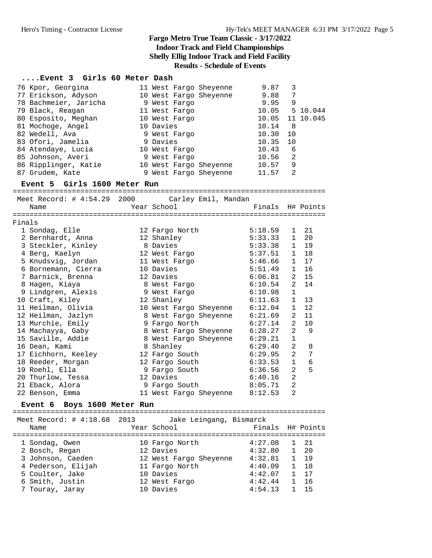### **....Event 3 Girls 60 Meter Dash**

|        | 76 Kpor, Georgina<br>77 Erickson, Adyson<br>78 Bachmeier, Jaricha<br>79 Black, Reagan<br>80 Esposito, Meghan<br>81 Mochoge, Angel<br>82 Wedell, Ava<br>83 Ofori, Jamelia<br>84 Atendaye, Lucia |      | 11 West Fargo Sheyenne<br>10 West Fargo Sheyenne<br>9 West Fargo<br>11 West Fargo<br>10 West Fargo<br>10 Davies<br>9 West Fargo<br>9 Davies<br>10 West Fargo | 9.87<br>9.88<br>9.95<br>10.05<br>10.05<br>10.14<br>10.30<br>10.35<br>10.43 | 3<br>7<br>9<br>-8<br>10<br>10<br>- 6 | 5 10.044<br>11 10.045 |
|--------|------------------------------------------------------------------------------------------------------------------------------------------------------------------------------------------------|------|--------------------------------------------------------------------------------------------------------------------------------------------------------------|----------------------------------------------------------------------------|--------------------------------------|-----------------------|
|        | 85 Johnson, Averi                                                                                                                                                                              |      | 9 West Fargo                                                                                                                                                 | 10.56                                                                      | 2                                    |                       |
|        | 86 Ripplinger, Katie                                                                                                                                                                           |      | 10 West Fargo Sheyenne                                                                                                                                       | 10.57                                                                      | 9                                    |                       |
|        | 87 Grudem, Kate                                                                                                                                                                                |      | 9 West Fargo Sheyenne                                                                                                                                        | 11.57                                                                      | 2                                    |                       |
|        | Event 5 Girls 1600 Meter Run                                                                                                                                                                   |      |                                                                                                                                                              |                                                                            |                                      |                       |
|        | Meet Record: # 4:54.29 2000 Carley Emil, Mandan                                                                                                                                                |      |                                                                                                                                                              |                                                                            |                                      |                       |
|        | Name                                                                                                                                                                                           |      | Year School                                                                                                                                                  | Finals                                                                     |                                      | H# Points             |
| Finals |                                                                                                                                                                                                |      |                                                                                                                                                              |                                                                            |                                      |                       |
|        | 1 Sondag, Elle                                                                                                                                                                                 |      | 12 Fargo North                                                                                                                                               | 5:18.59                                                                    | $\mathbf{1}$                         | 21                    |
|        | 2 Bernhardt, Anna                                                                                                                                                                              |      | 12 Shanley                                                                                                                                                   | 5:33.33                                                                    | $\mathbf{1}$                         | 20                    |
|        | 3 Steckler, Kinley                                                                                                                                                                             |      | 8 Davies                                                                                                                                                     | 5:33.38                                                                    | $\mathbf{1}$                         | 19                    |
|        | 4 Berg, Kaelyn                                                                                                                                                                                 |      | 12 West Fargo                                                                                                                                                | 5:37.51<br>5:46.66                                                         | $\mathbf{1}$                         | 18<br>17              |
|        | 5 Knudsvig, Jordan<br>6 Bornemann, Cierra                                                                                                                                                      |      | 11 West Fargo<br>10 Davies                                                                                                                                   | 5:51.49                                                                    | $\mathbf{1}$<br>$\mathbf{1}$         | 16                    |
|        | 7 Barnick, Brenna                                                                                                                                                                              |      | 12 Davies                                                                                                                                                    | 6:06.81                                                                    | $\overline{2}$                       | 15                    |
|        | 8 Hagen, Kiaya                                                                                                                                                                                 |      | 8 West Fargo                                                                                                                                                 | 6:10.54                                                                    | $\overline{a}$                       | 14                    |
|        | 9 Lindgren, Alexis                                                                                                                                                                             |      | 9 West Fargo                                                                                                                                                 | 6:10.98                                                                    | $\mathbf 1$                          |                       |
|        | 10 Craft, Kiley                                                                                                                                                                                |      | 12 Shanley                                                                                                                                                   | 6:11.63                                                                    | $\mathbf{1}$                         | 13                    |
|        | 11 Heilman, Olivia                                                                                                                                                                             |      | 10 West Fargo Sheyenne                                                                                                                                       | 6:12.04                                                                    | $\mathbf{1}$                         | 12                    |
|        | 12 Heilman, Jazlyn                                                                                                                                                                             |      | 8 West Fargo Sheyenne                                                                                                                                        | 6:21.69                                                                    | $\overline{2}$                       | 11                    |
|        | 13 Murchie, Emily                                                                                                                                                                              |      | 9 Fargo North                                                                                                                                                | 6:27.14                                                                    | 2                                    | 10                    |
|        | 14 Machayya, Gaby                                                                                                                                                                              |      | 8 West Fargo Sheyenne                                                                                                                                        | 6:28.27                                                                    | 2                                    | 9                     |
|        | 15 Saville, Addie                                                                                                                                                                              |      | 8 West Fargo Sheyenne                                                                                                                                        | 6:29.21                                                                    | 1                                    |                       |
|        | 16 Dean, Kami                                                                                                                                                                                  |      | 8 Shanley                                                                                                                                                    | 6:29.40                                                                    | $\overline{2}$                       | 8                     |
|        | 17 Eichhorn, Keeley                                                                                                                                                                            |      | 12 Fargo South                                                                                                                                               | 6:29.95                                                                    | $\overline{2}$                       | 7                     |
|        | 18 Reeder, Morgan                                                                                                                                                                              |      | 12 Fargo South                                                                                                                                               | 6:33.53                                                                    | $\mathbf 1$                          | 6                     |
|        | 19 Roehl, Ella                                                                                                                                                                                 |      | 9 Fargo South                                                                                                                                                | 6:36.56                                                                    | 2                                    | 5                     |
|        | 20 Thurlow, Tessa                                                                                                                                                                              |      | 12 Davies                                                                                                                                                    | 6:40.16                                                                    | 2                                    |                       |
|        | 21 Eback, Alora                                                                                                                                                                                |      | 9 Fargo South                                                                                                                                                | 8:05.71                                                                    | $\overline{a}$                       |                       |
|        | 22 Benson, Emma                                                                                                                                                                                |      | 11 West Fargo Sheyenne 8:12.53                                                                                                                               |                                                                            | $\overline{2}$                       |                       |
|        | Event 6 Boys 1600 Meter Run                                                                                                                                                                    |      |                                                                                                                                                              |                                                                            |                                      |                       |
|        | Meet Record: $\#$ 4:18.68                                                                                                                                                                      | 2013 | Jake Leingang, Bismarck                                                                                                                                      |                                                                            |                                      |                       |
|        | Name                                                                                                                                                                                           |      | Year School                                                                                                                                                  | Finals                                                                     |                                      | H# Points             |
|        | 1 Sondag, Owen                                                                                                                                                                                 |      | 10 Fargo North                                                                                                                                               | 4:27.08                                                                    | $\mathbf{1}$                         | 21                    |
|        | 2 Bosch, Regan                                                                                                                                                                                 |      | 12 Davies                                                                                                                                                    | 4:32.80                                                                    | $\mathbf{1}$                         | 20                    |
|        | 3 Johnson, Caeden                                                                                                                                                                              |      | 12 West Fargo Sheyenne                                                                                                                                       | 4:32.81                                                                    | $\mathbf{1}$                         | 19                    |
|        | 4 Pederson, Elijah                                                                                                                                                                             |      | 11 Fargo North                                                                                                                                               | 4:40.09                                                                    | $\mathbf{1}$                         | 18                    |
|        | 5 Coulter, Jake                                                                                                                                                                                |      | 10 Davies                                                                                                                                                    | 4:42.07                                                                    | $\mathbf{1}$                         | 17                    |
|        | 6 Smith, Justin                                                                                                                                                                                |      | 12 West Fargo                                                                                                                                                | 4:42.44                                                                    | $\mathbf{1}$                         | 16                    |
|        | 7 Touray, Jaray                                                                                                                                                                                |      | 10 Davies                                                                                                                                                    | 4:54.13                                                                    | $\mathbf{1}$                         | 15                    |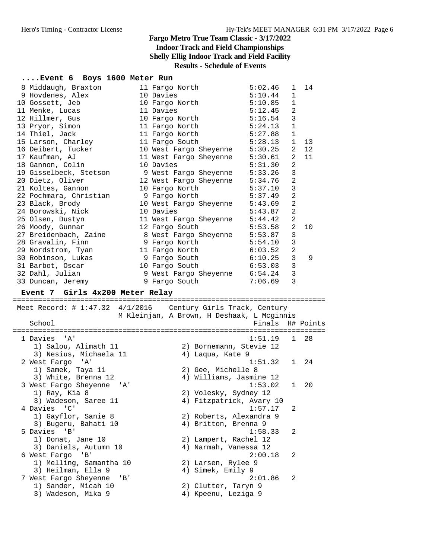#### **....Event 6 Boys 1600 Meter Run**

| 8 Middaugh, Braxton               11 Fargo North     |                               | 5:02.46 | 1              | 14 |
|------------------------------------------------------|-------------------------------|---------|----------------|----|
| 9 Hovdenes, Alex                                     | 10 Davies                     | 5:10.44 | $\mathbf{1}$   |    |
| 10 Gossett, Jeb                                      | 10 Fargo North                | 5:10.85 | $\mathbf{1}$   |    |
| 11 Menke, Lucas                                      | 11 Davies                     | 5:12.45 | $\overline{2}$ |    |
| 12 Hillmer, Gus                                      | 10 Fargo North                | 5:16.54 | $\overline{3}$ |    |
| 13 Pryor, Simon                                      | 11 Fargo North                | 5:24.13 | $\mathbf{1}$   |    |
| 14 Thiel, Jack                                       | 11 Fargo North 5:27.88        |         | $\mathbf{1}$   |    |
| 15 Larson, Charley 11 Fargo South 5:28.13            |                               |         | $\mathbf{1}$   | 13 |
| 16 Deibert, Tucker 10 West Fargo Sheyenne 5:30.25    |                               |         | $\overline{2}$ | 12 |
| 17 Kaufman, AJ 11 West Fargo Sheyenne 5:30.61        |                               |         | 2              | 11 |
| 18 Gannon, Colin                                     | 5:31.30<br>10 Davies          |         | $\overline{2}$ |    |
| 19 Gisselbeck, Stetson 9 West Fargo Sheyenne 5:33.26 |                               |         | 3              |    |
| 20 Dietz, Oliver 12 West Fargo Sheyenne 5:34.76      |                               |         | $\overline{2}$ |    |
| 21 Koltes, Gannon                                    | 10 Fargo North 5:37.10        |         | $\overline{3}$ |    |
| 22 Pochmara, Christian 9 Fargo North 5:37.49         |                               |         | $\overline{2}$ |    |
| 23 Black, Brody 10 West Fargo Sheyenne 5:43.69       |                               |         | $\overline{2}$ |    |
| 24 Borowski, Nick 10 Davies                          |                               | 5:43.87 | $\overline{2}$ |    |
| 25 Olsen, Dustyn 11 West Fargo Sheyenne 5:44.42      |                               |         | $\overline{2}$ |    |
| 26 Moody, Gunnar 12 Fargo South                      | 5:53.58                       |         | $\overline{2}$ | 10 |
| 27 Breidenbach, Zaine 8 West Fargo Sheyenne 5:53.87  |                               |         | 3              |    |
| 28 Gravalin, Finn 9 Fargo North 5:54.10              |                               |         | 3              |    |
| 29 Nordstrom, Tyan                                   | 11 Fargo North                | 6:03.52 | $\sqrt{2}$     |    |
| 30 Robinson, Lukas (30 Pargo South 6:10.25)          |                               |         | $\overline{3}$ | 9  |
|                                                      |                               |         | 3              |    |
| 32 Dahl, Julian                                      | 9 West Fargo Sheyenne 6:54.24 |         | 3              |    |
| 33 Duncan, Jeremy                                    | 9 Fargo South 7:06.69         |         | 3              |    |

#### **Event 7 Girls 4x200 Meter Relay**

========================================================================== Meet Record: # 1:47.32 4/1/2016 Century Girls Track, Century M Kleinjan, A Brown, H Deshaak, L Mcginnis School **Finals** H# Points ========================================================================== 1 Davies 'A' 1:51.19 1 28 1) Salou, Alimath 11 2) Bornemann, Stevie 12 3) Nesius, Michaela 11 (4) Laqua, Kate 9 2 West Fargo 'A' 1:51.32 1 24 1) Samek, Taya 11 2) Gee, Michelle 8 3) White, Brenna 12 4) Williams, Jasmine 12 3 West Fargo Sheyenne 'A' 1:53.02 1 20 1) Ray, Kia 8 2) Volesky, Sydney 12 3) Wadeson, Saree 11 4) Fitzpatrick, Avary 10 4 Davies 'C' 1:57.17 2 1) Gayflor, Sanie 8 2) Roberts, Alexandra 9 3) Bugeru, Bahati 10 (4) Anitton, Brenna 9 5 Davies 'B' 1:58.33 2 1) Donat, Jane 10 2) Lampert, Rachel 12 3) Daniels, Autumn 10 4) Narmah, Vanessa 12 6 West Fargo 'B' 2:00.18 2 1) Melling, Samantha 10 2) Larsen, Rylee 9 3) Heilman, Ella 9 (4) Simek, Emily 9 7 West Fargo Sheyenne 'B' 2:01.86 2 1) Sander, Micah 10 2) Clutter, Taryn 9 3) Wadeson, Mika 9 4) Kpeenu, Leziga 9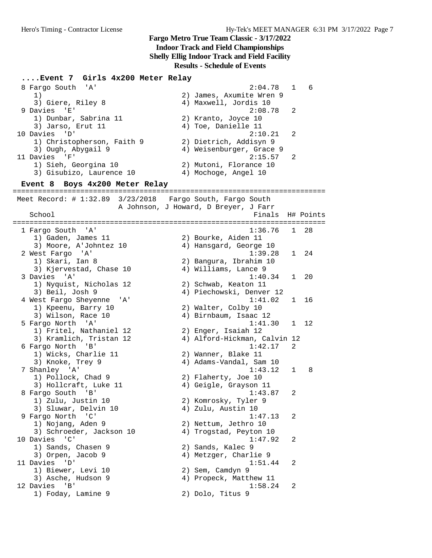#### **....Event 7 Girls 4x200 Meter Relay** 8 Fargo South 'A' 2:04.78 1 6 1) 2) James, Axumite Wren 9 3) Giere, Riley 8 4) Maxwell, Jordis 10 9 Davies 'E' 2:08.78 2 1) Dunbar, Sabrina 11 120 2) Kranto, Joyce 10 3) Jarso, Erut 11 (4) Toe, Danielle 11 10 Davies 'D' 2:10.21 2 1) Christopherson, Faith 9 2) Dietrich, Addisyn 9 3) Ough, Abygail 9 4) Weisenburger, Grace 9 11 Davies 'F' 2:15.57 2 1) Sieh, Georgina 10 2) Mutoni, Florance 10 3) Gisubizo, Laurence 10 (4) Mochoge, Angel 10 **Event 8 Boys 4x200 Meter Relay** ========================================================================== Meet Record: # 1:32.89 3/23/2018 Fargo South, Fargo South A Johnson, J Howard, D Breyer, J Farr School Finals H# Points ========================================================================== 1 Fargo South 'A' 1:36.76 1 28 1) Gaden, James 11 2) Bourke, Aiden 11 3) Moore, A'Johntez 10 4) Hansgard, George 10 2 West Fargo 'A' 1:39.28 1 24 1) Skari, Ian 8 2) Bangura, Ibrahim 10 3) Kjervestad, Chase 10 (4) Williams, Lance 9 3 Davies 'A' 1:40.34 1 20 1) Nyquist, Nicholas 12 2) Schwab, Keaton 11 3) Beil, Josh 9 4) Piechowski, Denver 12 4 West Fargo Sheyenne 'A' 1:41.02 1 16 1) Kpeenu, Barry 10 2) Walter, Colby 10 3) Wilson, Race 10 4) Birnbaum, Isaac 12 5 Fargo North 'A' 1:41.30 1 12 1) Fritel, Nathaniel 12 2) Enger, Isaiah 12 3) Kramlich, Tristan 12 4) Alford-Hickman, Calvin 12 6 Fargo North 'B' 1:42.17 2 1) Wicks, Charlie 11 (2) Wanner, Blake 11 3) Knoke, Trey 9 4) Adams-Vandal, Sam 10 7 Shanley 'A' 1:43.12 1 8 1) Pollock, Chad 9 2) Flaherty, Joe 10 3) Hollcraft, Luke 11 4) Geigle, Grayson 11 8 Fargo South 'B' 1:43.87 2 1) Zulu, Justin 10 2) Komrosky, Tyler 9 3) Sluwar, Delvin 10 (4) Zulu, Austin 10 9 Fargo North 'C' 1:47.13 2 1) Nojang, Aden 9 2) Nettum, Jethro 10 3) Schroeder, Jackson 10 4) Trogstad, Peyton 10 10 Davies 'C' 1:47.92 2 1) Sands, Chasen 9 2) Sands, Kalec 9 3) Orpen, Jacob 9 4) Metzger, Charlie 9 11 Davies 'D' 1:51.44 2 1) Biewer, Levi 10 2) Sem, Camdyn 9 3) Asche, Hudson 9 4) Propeck, Matthew 11 12 Davies 'B' 1:58.24 2 1) Foday, Lamine 9 2) Dolo, Titus 9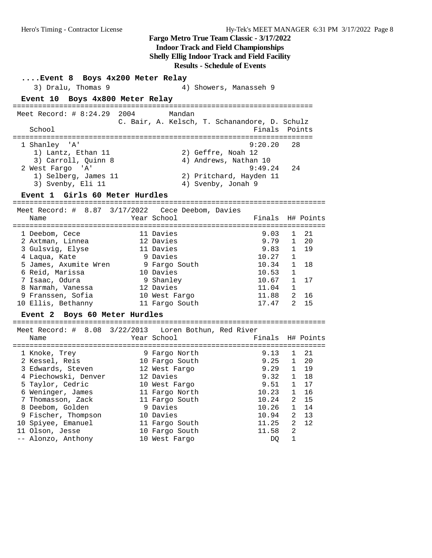#### **Fargo Metro True Team Classic - 3/17/2022 Indoor Track and Field Championships Shelly Ellig Indoor Track and Field Facility Results - Schedule of Events ....Event 8 Boys 4x200 Meter Relay** 3) Dralu, Thomas 9 4) Showers, Manasseh 9 **Event 10 Boys 4x800 Meter Relay** ======================================================================= Meet Record: # 8:24.29 2004 Mandan C. Bair, A. Kelsch, T. Schanandore, D. Schulz School **Finals Points** ======================================================================= 1 Shanley 'A' 9:20.20 28 1) Lantz, Ethan 11 2) Geffre, Noah 12 3) Carroll, Quinn 8 4) Andrews, Nathan 10 2 West Fargo 'A' 9:49.24 24 1) Selberg, James 11 2) Pritchard, Hayden 11 3) Svenby, Eli 11 4) Svenby, Jonah 9 **Event 1 Girls 60 Meter Hurdles** ========================================================================== Meet Record: # 8.87 3/17/2022 Cece Deebom, Davies Name Year School Finals H# Points ========================================================================== 1 Deebom, Cece 11 Davies 9.03 1 21 2 Axtman, Linnea 12 Davies 9.79 1 20 3 Gulsvig, Elyse 11 Davies 9.83 1 19 4 Laqua, Kate 9 Davies 10.27 1 5 James, Axumite Wren 9 Fargo South 10.34 1 18 6 Reid, Marissa 10 Davies 10.53 1 7 Isaac, Odura 9 Shanley 10.67 1 17 8 Narmah, Vanessa 12 Davies 11.04 1 9 Franssen, Sofia 10 West Fargo 11.88 2 16 10 Ellis, Bethanny 11 Fargo South 17.47 2 15 **Event 2 Boys 60 Meter Hurdles** ========================================================================== Meet Record: # 8.08 3/22/2013 Loren Bothun, Red River Name Year School Finals H# Points ========================================================================== 1 Knoke, Trey 9 Fargo North 9.13 1 21 2 Kessel, Reis 10 Fargo South 9.25 1 20 3 Edwards, Steven 12 West Fargo 9.29 1 19 4 Piechowski, Denver 12 Davies 9.32 1 18 5 Taylor, Cedric 10 West Fargo 9.51 1 17 6 Weninger, James 11 Fargo North 10.23 1 16 7 Thomasson, Zack 11 Fargo South 10.24 2 15 8 Deebom, Golden 9 Davies 10.26 1 14 9 Fischer, Thompson 10 Davies 10.94 2 13 10 Spiyee, Emanuel 11 Fargo South 11.25 2 12 11 Olson, Jesse 10 Fargo South 11.58 2 -- Alonzo, Anthony 10 West Fargo DQ 1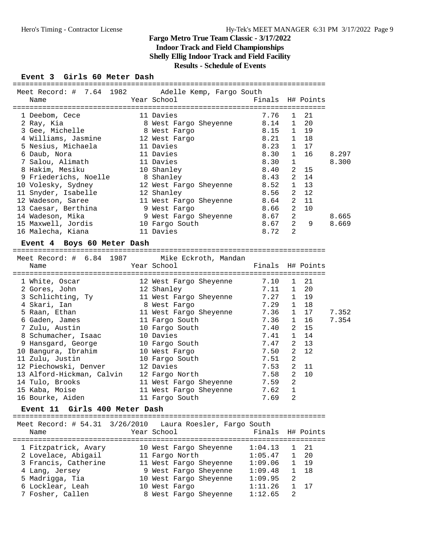#### **Fargo Metro True Team Classic - 3/17/2022 Indoor Track and Field Championships**

**Shelly Ellig Indoor Track and Field Facility**

### **Results - Schedule of Events**

#### **Event 3 Girls 60 Meter Dash**

|                       | Meet Record: # 7.64 1982 Adelle Kemp, Fargo South |                              |       |
|-----------------------|---------------------------------------------------|------------------------------|-------|
| Name                  | Year School and the School and the School         | Finals H# Points             |       |
|                       |                                                   |                              |       |
| 1 Deebom, Cece        | 11 Davies                                         | 21<br>7.76<br>$\mathbf{1}$   |       |
| 2 Ray, Kia            | 8 West Fargo Sheyenne 8.14                        | -20<br>$\mathbf{1}$          |       |
| 3 Gee, Michelle       | 8 West Fargo                                      | 8.15 1 19                    |       |
| 4 Williams, Jasmine   | 12 West Fargo                                     | 8.21 1 18                    |       |
| 5 Nesius, Michaela    | 11 Davies                                         | 8.23 1 17                    |       |
| 6 Daub, Nora          | 11 Davies                                         | 8.30 1 16                    | 8.297 |
| 7 Salou, Alimath      | 11 Davies                                         | $\mathbf{1}$<br>8.30         | 8.300 |
| 8 Hakim, Mesiku       | 10 Shanley                                        | 2 15<br>8.40                 |       |
| 9 Friederichs, Noelle | 8 Shanley                                         | 2 14<br>8.43                 |       |
| 10 Volesky, Sydney    | 12 West Fargo Sheyenne                            | $1 \quad 13$<br>8.52         |       |
| 11 Snyder, Isabelle   | 12 Shanley                                        | $2 \quad 12$<br>8.56         |       |
| 12 Wadeson, Saree     | 11 West Fargo Sheyenne                            | 2 11<br>8.64                 |       |
| 13 Caesar, Berthina   | 9 West Fargo                                      | 10<br>8.66<br>$\overline{a}$ |       |
| 14 Wadeson, Mika      | 9 West Fargo Sheyenne                             | $\overline{2}$<br>8.67       | 8.665 |
| 15 Maxwell, Jordis    | 10 Fargo South                                    | $2^9$<br>8.67                | 8.669 |
| 16 Malecha, Kiana     | 11 Davies                                         | $\mathfrak{D}$<br>8.72       |       |

#### **Event 4 Boys 60 Meter Dash**

==========================================================================

| Meet Record: # 6.84 1987 Mike Eckroth, Mandan |                                    |                  |              |              |       |
|-----------------------------------------------|------------------------------------|------------------|--------------|--------------|-------|
| Name                                          | Year School <b>Sandware School</b> | Finals H# Points |              |              |       |
|                                               |                                    |                  |              |              |       |
| 1 White, Oscar                                | 12 West Fargo Sheyenne             | 7.10             | $\mathbf{1}$ | -21          |       |
| 2 Gores, John                                 | 12 Shanley                         | 7.11             | $\mathbf{1}$ | -20          |       |
| 3 Schlichting, Ty                             | 11 West Fargo Sheyenne 7.27 1 19   |                  |              |              |       |
| 4 Skari, Ian                                  | 8 West Fargo                       | 7.29 1 18        |              |              |       |
| 5 Raan, Ethan                                 | 11 West Fargo Sheyenne             | 7.36 1 17        |              |              | 7.352 |
| 6 Gaden, James                                | 11 Fargo South                     | 7.36 1 16        |              |              | 7.354 |
| 7 Zulu, Austin                                | 10 Fargo South                     | 7.40             |              | 2 15         |       |
| 8 Schumacher, Isaac                           | 10 Davies                          | 7.41             |              | 1 14         |       |
| 9 Hansgard, George                            | 10 Fargo South                     | 7.47             |              | 2 13         |       |
| 10 Bangura, Ibrahim                           | 10 West Fargo                      | 7.50             |              | $2 \t12$     |       |
| 11 Zulu, Justin                               | 10 Fargo South                     | 7.51             | 2            |              |       |
| 12 Piechowski, Denver                         | 12 Davies                          | 7.53             |              | 2 11         |       |
| 13 Alford-Hickman, Calvin                     | 12 Fargo North                     | 7.58             |              | $2 \quad 10$ |       |
| 14 Tulo, Brooks                               | 11 West Fargo Sheyenne 7.59        |                  | 2            |              |       |
| 15 Kaba, Moise                                | 11 West Fargo Sheyenne 7.62        |                  | $\mathbf{1}$ |              |       |
| 16 Bourke, Aiden                              | 11 Fargo South                     | 7.69             | 2            |              |       |

#### **Event 11 Girls 400 Meter Dash**

========================================================================== Meet Record: # 54.31 3/26/2010 Laura Roesler, Fargo South Name The Year School The Finals H# Points ========================================================================== 1 Fitzpatrick, Avary 10 West Fargo Sheyenne 1:04.13 1 21 2 Lovelace, Abigail 11 Fargo North 1:05.47 1 20 3 Francis, Catherine 11 West Fargo Sheyenne 1:09.06 1 19 4 Lang, Jersey 9 West Fargo Sheyenne 1:09.48 1 18 5 Madrigga, Tia 10 West Fargo Sheyenne 1:09.95 2 6 Locklear, Leah 10 West Fargo 1:11.26 1 17 7 Fosher, Callen 8 West Fargo Sheyenne 1:12.65 2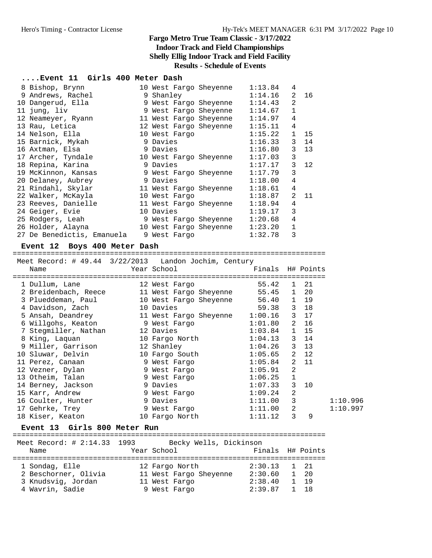#### **....Event 11 Girls 400 Meter Dash**

| 8 Bishop, Brynn            |                        | 10 West Fargo Sheyenne | 1:13.84 | 4              |    |
|----------------------------|------------------------|------------------------|---------|----------------|----|
| 9 Andrews, Rachel          | 9 Shanley              |                        | 1:14.16 | 2              | 16 |
| 10 Dangerud, Ella          |                        | 9 West Fargo Sheyenne  | 1:14.43 | $\overline{2}$ |    |
| 11 jung, liv               |                        | 9 West Fargo Sheyenne  | 1:14.67 | $\mathbf{1}$   |    |
| 12 Neameyer, Ryann         |                        | 11 West Fargo Sheyenne | 1:14.97 | 4              |    |
| 13 Rau, Letica             | 12 West Fargo Sheyenne |                        | 1:15.11 | 4              |    |
| 14 Nelson, Ella            | 10 West Fargo          |                        | 1:15.22 | $\mathbf{1}$   | 15 |
| 15 Barnick, Mykah          | 9 Davies               |                        | 1:16.33 | 3              | 14 |
| 16 Axtman, Elsa            | 9 Davies               |                        | 1:16.80 | 3              | 13 |
| 17 Archer, Tyndale         |                        | 10 West Fargo Sheyenne | 1:17.03 | 3              |    |
| 18 Repina, Karina          | 9 Davies               |                        | 1:17.17 | 3              | 12 |
| 19 McKinnon, Kansas        |                        | 9 West Fargo Sheyenne  | 1:17.79 | 3              |    |
| 20 Delaney, Aubrey         | 9 Davies               |                        | 1:18.00 | 4              |    |
| 21 Rindahl, Skylar         |                        | 11 West Fargo Sheyenne | 1:18.61 | 4              |    |
| 22 Walker, McKayla         | 10 West Fargo          |                        | 1:18.87 | 2              | 11 |
| 23 Reeves, Danielle        |                        | 11 West Fargo Sheyenne | 1:18.94 | 4              |    |
| 24 Geiger, Evie            | 10 Davies              |                        | 1:19.17 | 3              |    |
| 25 Rodgers, Leah           |                        | 9 West Fargo Sheyenne  | 1:20.68 | 4              |    |
| 26 Holder, Alayna          |                        | 10 West Fargo Sheyenne | 1:23.20 | $\mathbf{1}$   |    |
| 27 De Benedictis, Emanuela | 9 West Fargo           |                        | 1:32.78 | 3              |    |

#### **Event 12 Boys 400 Meter Dash**

==========================================================================

| Meet Record: $\#$ 49.44 3/22/2013 Landon Jochim, Century                                   |  |                                                         |                |                |                  |
|--------------------------------------------------------------------------------------------|--|---------------------------------------------------------|----------------|----------------|------------------|
| Name<br>===========================                                                        |  |                                                         |                |                |                  |
| 1 Dullum, Lane 12 West Fargo                                                               |  | ===============================                         | $55.42$ 1 21   |                |                  |
|                                                                                            |  | 2 Breidenbach, Reece 11 West Fargo Sheyenne 55.45 1 20  |                |                |                  |
|                                                                                            |  | 3 Plueddeman, Paul 10 West Fargo Sheyenne 56.40 1 19    |                |                |                  |
| 4 Davidson, Zach 10 Davies                                                                 |  | 59.38 3 18                                              |                |                |                  |
|                                                                                            |  | 5 Ansah, Deandrey 11 West Fargo Sheyenne 1:00.16 3 17   |                |                |                  |
|                                                                                            |  | 6 Willgohs, Keaton 6 9 West Fargo 1:01.80 2 16          |                |                |                  |
|                                                                                            |  | 7 Stegmiller, Nathan 12 Davies 1:03.84 1                |                |                | -15              |
|                                                                                            |  | 8 King, Laquan                           10 Fargo North | $1:04.13$ 3 14 |                |                  |
|                                                                                            |  | 9 Miller, Garrison 12 Shanley                           | $1:04.26$ 3 13 |                |                  |
| 10 Sluwar, Delvin 10 Fargo South 1:05.65 2 12                                              |  |                                                         |                |                |                  |
| 11 Perez, Canaan 19 West Fargo                                                             |  |                                                         | $1:05.84$ 2 11 |                |                  |
| 12 Vezner, Dylan 12 9 West Fargo                                                           |  |                                                         | 1:05.91 2      |                |                  |
| 13 Otheim, Talan                   9 West Fargo<br>14 Berney, Jackson             9 Davies |  |                                                         | $1:06.25$ 1    |                |                  |
|                                                                                            |  |                                                         | $1:07.33$ 3    |                | 10               |
| 15 Karr, Andrew 9 West Fargo                                                               |  |                                                         | 1:09.24        | 2              |                  |
| 16 Coulter, Hunter 9 Davies                                                                |  |                                                         | 1:11.00        | $\overline{3}$ |                  |
| 17 Gehrke, Trey 30 9 West Fargo                                                            |  |                                                         | 1:11.00        | 2              |                  |
|                                                                                            |  |                                                         | 1:11.12        |                | $3^{\circ}$<br>9 |

#### **Event 13 Girls 800 Meter Run**

==========================================================================

| Meet Record: # 2:14.33 1993 | Becky Wells, Dickinson |                  |               |
|-----------------------------|------------------------|------------------|---------------|
| Name                        | Year School            | Finals H# Points |               |
|                             |                        |                  |               |
| 1 Sondag, Elle              | 12 Fargo North         | 2:30.13          | 1 2.1         |
| 2 Beschorner, Olivia        | 11 West Fargo Sheyenne | 2:30.60          | $1\quad 20$   |
| 3 Knudsvig, Jordan          | 11 West Fargo          | 2:38.40          | <sup>19</sup> |
| 4 Wavrin, Sadie             | 9 West Fargo           | 2:39.87          | 1 18          |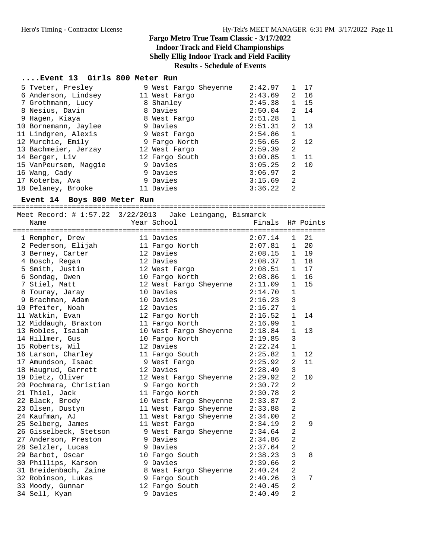#### **....Event 13 Girls 800 Meter Run**

| 5 Tyeter, Presley     | 9 West Fargo Sheyenne | 2:42.97 |                | 17           |
|-----------------------|-----------------------|---------|----------------|--------------|
| 6 Anderson, Lindsey   | 11 West Fargo         | 2:43.69 | $\overline{2}$ | 16           |
| 7 Grothmann, Lucy     | 8 Shanley             | 2:45.38 | 1              | 15           |
| 8 Nesius, Davin       | 8 Davies              | 2:50.04 | 2              | 14           |
|                       |                       |         |                |              |
| 9 Hagen, Kiaya        | 8 West Fargo          | 2:51.28 | $\mathbf 1$    |              |
| 10 Bornemann, Jaylee  | 9 Davies              | 2:51.31 | 2              | 13           |
| 11 Lindgren, Alexis   | 9 West Fargo          | 2:54.86 | $\mathbf 1$    |              |
| 12 Murchie, Emily     | 9 Fargo North         | 2:56.65 |                | $2 \quad 12$ |
| 13 Bachmeier, Jerzay  | 12 West Fargo         | 2:59.39 | 2              |              |
| 14 Berger, Liv        | 12 Fargo South        | 3:00.85 | $\mathbf{1}$   | 11           |
| 15 VanPeursem, Maggie | 9 Davies              | 3:05.25 | 2              | 1 O          |
| 16 Wang, Cady         | 9 Davies              | 3:06.97 | 2              |              |
| 17 Koterba, Ava       | 9 Davies              | 3:15.69 | 2              |              |
| 18 Delaney, Brooke    | 11 Davies             | 3:36.22 | 2              |              |

#### **Event 14 Boys 800 Meter Run**

========================================================================== Meet Record: # 1:57.22 3/22/2013 Jake Leingang, Bismarck

| Name                   | Year School                    | Finals H# Points |                |    |
|------------------------|--------------------------------|------------------|----------------|----|
| 1 Rempher, Drew        | 11 Davies                      | 2:07.14          | $\mathbf{1}$   | 21 |
| 2 Pederson, Elijah     | 11 Fargo North                 | 2:07.81          | 1              | 20 |
| 3 Berney, Carter       | 12 Davies                      | 2:08.15          | $\mathbf{1}$   | 19 |
| 4 Bosch, Regan         | 12 Davies                      | 2:08.37          | 1              | 18 |
| 5 Smith, Justin        | 12 West Fargo                  | 2:08.51          | $\mathbf{1}$   | 17 |
| 6 Sondag, Owen         | 10 Fargo North                 | 2:08.86          | $\mathbf{1}$   | 16 |
| 7 Stiel, Matt          | 12 West Fargo Sheyenne 2:11.09 |                  | $\mathbf{1}$   | 15 |
| 8 Touray, Jaray        | 10 Davies                      | 2:14.70          | $\mathbf{1}$   |    |
| 9 Brachman, Adam       | 10 Davies                      | 2:16.23          | $\overline{3}$ |    |
| 10 Pfeifer, Noah       | 12 Davies                      | 2:16.27          | $\mathbf{1}$   |    |
| 11 Watkin, Evan        | 12 Fargo North 2:16.52         |                  | $\mathbf{1}$   | 14 |
| 12 Middaugh, Braxton   | 11 Fargo North                 | 2:16.99          | $\mathbf{1}$   |    |
| 13 Robles, Isaiah      | 10 West Fargo Sheyenne 2:18.84 |                  | $\mathbf{1}$   | 13 |
| 14 Hillmer, Gus        | 10 Fargo North                 | 2:19.85          | 3              |    |
| 15 Roberts, Wil        | 12 Davies                      | 2:22.24          | $\mathbf{1}$   |    |
| 16 Larson, Charley     | 11 Fargo South                 | 2:25.82          | $\mathbf{1}$   | 12 |
| 17 Amundson, Isaac     | 9 West Farqo                   | 2:25.92          | 2              | 11 |
| 18 Haugrud, Garrett    | 12 Davies                      | 2:28.49          | 3              |    |
| 19 Dietz, Oliver       | 12 West Fargo Sheyenne         | 2:29.92          | $\mathfrak{D}$ | 10 |
| 20 Pochmara, Christian | 9 Fargo North                  | 2:30.72          | $\overline{2}$ |    |
| 21 Thiel, Jack         | 11 Fargo North                 | 2:30.78          | $\overline{2}$ |    |
| 22 Black, Brody        | 10 West Fargo Sheyenne 2:33.87 |                  | $\overline{2}$ |    |
| 23 Olsen, Dustyn       | 11 West Fargo Sheyenne 2:33.88 |                  | $\overline{2}$ |    |
| 24 Kaufman, AJ         | 11 West Fargo Sheyenne 2:34.00 |                  | $\overline{a}$ |    |
| 25 Selberg, James      | 11 West Fargo                  | 2:34.19          | $\overline{a}$ | 9  |
| 26 Gisselbeck, Stetson | 9 West Fargo Sheyenne 2:34.64  |                  | $\overline{a}$ |    |
| 27 Anderson, Preston   | 9 Davies                       | 2:34.86          | $\overline{2}$ |    |
| 28 Selzler, Lucas      | 9 Davies                       | 2:37.64          | $\overline{2}$ |    |
| 29 Barbot, Oscar       | 10 Fargo South 2:38.23         |                  | 3              | 8  |
| 30 Phillips, Karson    | 9 Davies                       | 2:39.66          | 2              |    |
| 31 Breidenbach, Zaine  | 8 West Fargo Sheyenne 2:40.24  |                  | $\overline{2}$ |    |
| 32 Robinson, Lukas     | 9 Fargo South                  | 2:40.26          | $\overline{3}$ | 7  |
| 33 Moody, Gunnar       | 12 Fargo South                 | 2:40.45          | $\overline{2}$ |    |
| 34 Sell, Kyan          | 9 Davies                       | 2:40.49          | $\overline{2}$ |    |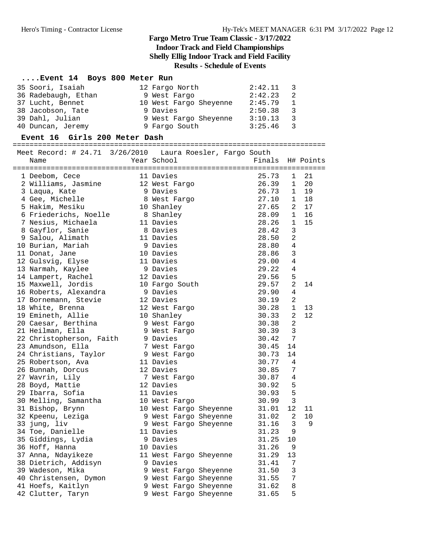#### **....Event 14 Boys 800 Meter Run**

| 35 Soori, Isaiah    | 12 Fargo North         | 2:42.11 | $\mathcal{R}$  |
|---------------------|------------------------|---------|----------------|
| 36 Radebaugh, Ethan | 9 West Fargo           | 2:42.23 |                |
| 37 Lucht, Bennet    | 10 West Fargo Sheyenne | 2:45.79 | $\overline{1}$ |
| 38 Jacobson, Tate   | 9 Davies               | 2:50.38 |                |
| 39 Dahl, Julian     | 9 West Fargo Sheyenne  | 3:10.13 |                |
| 40 Duncan, Jeremy   | 9 Fargo South          | 3:25.46 |                |

#### **Event 16 Girls 200 Meter Dash**

========================================================================== Meet Record: # 24.71 3/26/2010 Laura Roesler, Fargo South Name Year School Finals H# Points ========================================================================== 1 Deebom, Cece 11 Davies 25.73 1 21 2 Williams, Jasmine 12 West Fargo 26.39 1 20 3 Laqua, Kate 9 Davies 26.73 1 19 4 Gee, Michelle 8 West Fargo 27.10 1 18 5 Hakim, Mesiku 10 Shanley 27.65 2 17 6 Friederichs, Noelle 8 Shanley 28.09 1 16 7 Nesius, Michaela 11 Davies 28.26 1 15 8 Gayflor, Sanie 8 Davies 28.42 3 9 Salou, Alimath 11 Davies 28.50 2 10 Burian, Mariah 9 Davies 28.80 4 11 Donat, Jane 10 Davies 28.86 3 12 Gulsvig, Elyse 11 Davies 29.00 4 13 Narmah, Kaylee 9 Davies 29.22 4 14 Lampert, Rachel 12 Davies 29.56 5 15 Maxwell, Jordis 10 Fargo South 29.57 2 14 16 Roberts, Alexandra 9 Davies 29.90 4 17 Bornemann, Stevie 12 Davies 30.19 2 18 White, Brenna 12 West Fargo 30.28 1 13 19 Emineth, Allie 10 Shanley 30.33 2 12 20 Caesar, Berthina 9 West Fargo 30.38 2 21 Heilman, Ella 9 West Fargo 30.39 3 22 Christopherson, Faith 9 Davies 30.42 7 23 Amundson, Ella 7 West Fargo 30.45 14 24 Christians, Taylor 9 West Fargo 30.73 14 25 Robertson, Ava 11 Davies 30.77 4 26 Bunnah, Dorcus 12 Davies 30.85 7 27 Wavrin, Lily 7 West Fargo 30.87 4 28 Boyd, Mattie 12 Davies 30.92 5 29 Ibarra, Sofia 11 Davies 30.93 5 30 Melling, Samantha 10 West Fargo 30.99 3 31 Bishop, Brynn 10 West Fargo Sheyenne 31.01 12 11 32 Kpeenu, Leziga 9 West Fargo Sheyenne 31.02 2 10 33 jung, liv 9 West Fargo Sheyenne 31.16 3 9 34 Toe, Danielle 11 Davies 31.23 9 35 Giddings, Lydia 9 Davies 31.25 10 36 Hoff, Hanna 10 Davies 31.26 9 37 Anna, Ndayikeze 11 West Fargo Sheyenne 31.29 13 38 Dietrich, Addisyn 9 Davies 31.41 7 39 Wadeson, Mika 9 West Fargo Sheyenne 31.50 3 40 Christensen, Dymon 9 West Fargo Sheyenne 31.55 7 41 Hoefs, Kaitlyn 9 West Fargo Sheyenne 31.62 8 42 Clutter, Taryn 9 West Fargo Sheyenne 31.65 5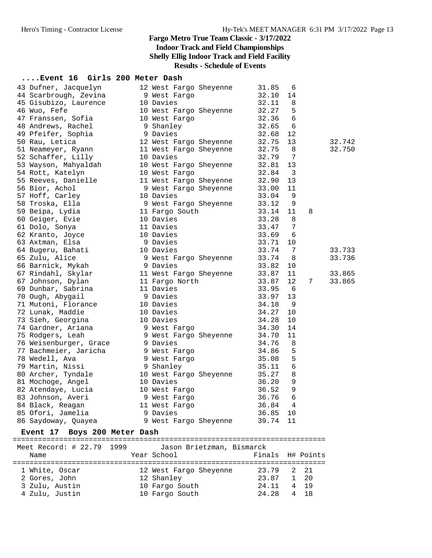### **....Event 16 Girls 200 Meter Dash**

| 43 Dufner, Jacquelyn         | 12 West Fargo Sheyenne    | 31.85                        | 6                       |           |        |
|------------------------------|---------------------------|------------------------------|-------------------------|-----------|--------|
| 44 Scarbrough, Zevina        | 9 West Fargo              | 32.10                        | 14                      |           |        |
| 45 Gisubizo, Laurence        | 10 Davies                 | 32.11                        | 8                       |           |        |
| 46 Wuo, Fefe                 | 10 West Fargo Sheyenne    | 32.27                        | 5                       |           |        |
| 47 Franssen, Sofia           | 10 West Fargo             | 32.36                        | 6                       |           |        |
| 48 Andrews, Rachel           | 9 Shanley                 | 32.65                        | 6                       |           |        |
| 49 Pfeifer, Sophia           | 9 Davies                  | 32.68                        | 12                      |           |        |
| 50 Rau, Letica               | 12 West Fargo Sheyenne    | 32.75                        | 13                      |           | 32.742 |
| 51 Neameyer, Ryann           | 11 West Fargo Sheyenne    | 32.75                        | 8                       |           | 32.750 |
| 52 Schaffer, Lilly           | 10 Davies                 | 32.79                        | 7                       |           |        |
| 53 Wayson, Mahyaldah         | 10 West Fargo Sheyenne    | 32.81                        | 13                      |           |        |
| 54 Rott, Katelyn             | 10 West Fargo             | 32.84                        | $\overline{\mathbf{3}}$ |           |        |
| 55 Reeves, Danielle          | 11 West Fargo Sheyenne    | 32.90                        | 13                      |           |        |
| 56 Bior, Achol               | 9 West Fargo Sheyenne     | 33.00                        | 11                      |           |        |
| 57 Hoff, Carley              | 10 Davies                 | 33.04                        | 9                       |           |        |
| 58 Troska, Ella              | 9 West Fargo Sheyenne     | 33.12                        | 9                       |           |        |
| 59 Beipa, Lydia              | 11 Fargo South            | 33.14                        | 11                      | 8         |        |
|                              | 10 Davies                 | 33.28                        | 8                       |           |        |
| 60 Geiger, Evie              | 11 Davies                 |                              | 7                       |           |        |
| 61 Dolo, Sonya               |                           | 33.47                        |                         |           |        |
| 62 Kranto, Joyce             | 10 Davies                 | 33.69                        | 6                       |           |        |
| 63 Axtman, Elsa              | 9 Davies                  | 33.71                        | 10                      |           |        |
| 64 Bugeru, Bahati            | 10 Davies                 | 33.74                        | 7                       |           | 33.733 |
| 65 Zulu, Alice               | 9 West Fargo Sheyenne     | 33.74                        | 8                       |           | 33.736 |
| 66 Barnick, Mykah            | 9 Davies                  | 33.82                        | 10                      |           |        |
| 67 Rindahl, Skylar           | 11 West Fargo Sheyenne    | 33.87                        | 11                      |           | 33.865 |
| 67 Johnson, Dylan            | 11 Fargo North            | 33.87                        | 12                      | 7         | 33.865 |
| 69 Dunbar, Sabrina           | 11 Davies                 | 33.95                        | 6                       |           |        |
| 70 Ough, Abygail             | 9 Davies                  | 33.97                        | 13                      |           |        |
| 71 Mutoni, Florance          | 10 Davies                 | 34.18                        | 9                       |           |        |
| 72 Lunak, Maddie             | 10 Davies                 | 34.27                        | 10                      |           |        |
| 73 Sieh, Georgina            | 10 Davies                 | 34.28                        | 10                      |           |        |
| 74 Gardner, Ariana           | 9 West Fargo              | 34.30                        | 14                      |           |        |
| 75 Rodgers, Leah             | 9 West Fargo Sheyenne     | 34.70                        | 11                      |           |        |
| 76 Weisenburger, Grace       | 9 Davies                  | 34.76                        | 8                       |           |        |
| 77 Bachmeier, Jaricha        | 9 West Fargo              | 34.86                        | 5                       |           |        |
| 78 Wedell, Ava               | 9 West Fargo              | 35.08                        | 5                       |           |        |
| 79 Martin, Nissi             | 9 Shanley                 | 35.11                        | $\epsilon$              |           |        |
| 80 Archer, Tyndale           | 10 West Fargo Sheyenne    | 35.27                        | 8                       |           |        |
| 81 Mochoge, Angel            | 10 Davies                 | 36.20                        | 9                       |           |        |
| 82 Atendaye, Lucia           | 10 West Fargo             | 36.52                        | 9                       |           |        |
| 83 Johnson, Averi            | 9 West Fargo              | 36.76                        | 6                       |           |        |
| 84 Black, Reagan             | 11 West Fargo             | 36.84                        | 4                       |           |        |
| 85 Ofori, Jamelia            | 9 Davies                  | 36.85                        | 10                      |           |        |
| 86 Saydoway, Quayea          | 9 West Fargo Sheyenne     | 39.74                        | 11                      |           |        |
| Event 17 Boys 200 Meter Dash |                           |                              |                         |           |        |
| Meet Record: # 22.79 1999    |                           | ============================ |                         |           |        |
|                              | Jason Brietzman, Bismarck |                              |                         |           |        |
| Name                         | Year School               | Finals                       |                         | H# Points |        |
| 1 White, Oscar               | 12 West Fargo Sheyenne    | 23.79                        | 2                       | 21        |        |
| 2 Gores, John                | 12 Shanley                | 23.87                        | 1                       | 20        |        |
| 3 Zulu, Austin               | 10 Fargo South            | 24.11                        | 4                       | 19        |        |
| 4 Zulu, Justin               |                           | 24.28                        |                         | 18        |        |
|                              | 10 Fargo South            |                              |                         |           |        |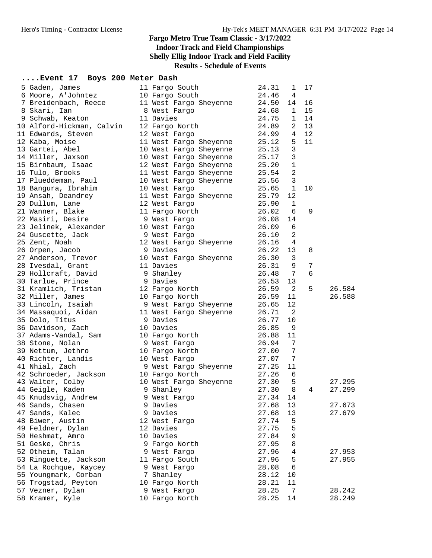#### **....Event 17 Boys 200 Meter Dash**

| 5 Gaden, James            | 11 Fargo South         | 24.31 | 1              | 17 |        |
|---------------------------|------------------------|-------|----------------|----|--------|
| 6 Moore, A'Johntez        | 10 Fargo South         | 24.46 | 4              |    |        |
| 7 Breidenbach, Reece      | 11 West Fargo Sheyenne | 24.50 | 14             | 16 |        |
| 8 Skari, Ian              | 8 West Fargo           | 24.68 | 1              | 15 |        |
| 9 Schwab, Keaton          | 11 Davies              | 24.75 | $\mathbf{1}$   | 14 |        |
| 10 Alford-Hickman, Calvin | 12 Fargo North         | 24.89 | 2              | 13 |        |
| 11 Edwards, Steven        | 12 West Fargo          | 24.99 | 4              | 12 |        |
| 12 Kaba, Moise            | 11 West Fargo Sheyenne | 25.12 | 5              | 11 |        |
| 13 Gartei, Abel           | 10 West Fargo Sheyenne | 25.13 | 3              |    |        |
| 14 Miller, Jaxson         | 10 West Fargo Sheyenne | 25.17 | $\mathbf{3}$   |    |        |
| 15 Birnbaum, Isaac        | 12 West Fargo Sheyenne | 25.20 | $\mathbf 1$    |    |        |
| 16 Tulo, Brooks           | 11 West Fargo Sheyenne | 25.54 | 2              |    |        |
| 17 Plueddeman, Paul       | 10 West Fargo Sheyenne | 25.56 | 3              |    |        |
| 18 Bangura, Ibrahim       | 10 West Fargo          | 25.65 | 1              | 10 |        |
| 19 Ansah, Deandrey        |                        | 25.79 | 12             |    |        |
|                           | 11 West Fargo Sheyenne |       |                |    |        |
| 20 Dullum, Lane           | 12 West Fargo          | 25.90 | 1              |    |        |
| 21 Wanner, Blake          | 11 Fargo North         | 26.02 | 6              | 9  |        |
| 22 Masiri, Desire         | 9 West Fargo           | 26.08 | 14             |    |        |
| 23 Jelinek, Alexander     | 10 West Fargo          | 26.09 | 6              |    |        |
| 24 Guscette, Jack         | 9 West Fargo           | 26.10 | 2              |    |        |
| 25 Zent, Noah             | 12 West Fargo Sheyenne | 26.16 | 4              |    |        |
| 26 Orpen, Jacob           | 9 Davies               | 26.22 | 13             | 8  |        |
| 27 Anderson, Trevor       | 10 West Fargo Sheyenne | 26.30 | 3              |    |        |
| 28 Ivesdal, Grant         | 11 Davies              | 26.31 | 9              | 7  |        |
| 29 Hollcraft, David       | 9 Shanley              | 26.48 | 7              | 6  |        |
| 30 Tarlue, Prince         | 9 Davies               | 26.53 | 13             |    |        |
| 31 Kramlich, Tristan      | 12 Fargo North         | 26.59 | 2              | 5  | 26.584 |
| 32 Miller, James          | 10 Fargo North         | 26.59 | 11             |    | 26.588 |
| 33 Lincoln, Isaiah        | 9 West Fargo Sheyenne  | 26.65 | 12             |    |        |
| 34 Massaquoi, Aidan       | 11 West Fargo Sheyenne | 26.71 | $\overline{2}$ |    |        |
| 35 Dolo, Titus            | 9 Davies               | 26.77 | 10             |    |        |
| 36 Davidson, Zach         | 10 Davies              | 26.85 | 9              |    |        |
| 37 Adams-Vandal, Sam      | 10 Fargo North         | 26.88 | 11             |    |        |
| 38 Stone, Nolan           | 9 West Fargo           | 26.94 | 7              |    |        |
| 39 Nettum, Jethro         | 10 Fargo North         | 27.00 | 7              |    |        |
| 40 Richter, Landis        | 10 West Fargo          | 27.07 | 7              |    |        |
| 41 Nhial, Zach            | 9 West Fargo Sheyenne  | 27.25 | 11             |    |        |
| 42 Schroeder, Jackson     | 10 Fargo North         | 27.26 | 6              |    |        |
| 43 Walter, Colby          | 10 West Fargo Sheyenne | 27.30 | 5              |    | 27.295 |
| 44 Geigle, Kaden          | 9 Shanley              | 27.30 | 8              | 4  | 27.299 |
| 45 Knudsvig, Andrew       | 9 West Fargo           | 27.34 | 14             |    |        |
|                           |                        |       |                |    |        |
| 46 Sands, Chasen          | 9 Davies               | 27.68 | 13             |    | 27.673 |
| 47 Sands, Kalec           | 9 Davies               | 27.68 | 13             |    | 27.679 |
| 48 Biwer, Austin          | 12 West Fargo          | 27.74 | 5              |    |        |
| 49 Feldner, Dylan         | 12 Davies              | 27.75 | 5              |    |        |
| 50 Heshmat, Amro          | 10 Davies              | 27.84 | 9              |    |        |
| 51 Geske, Chris           | 9 Fargo North          | 27.95 | 8              |    |        |
| 52 Otheim, Talan          | 9 West Fargo           | 27.96 | 4              |    | 27.953 |
| 53 Ringuette, Jackson     | 11 Fargo South         | 27.96 | 5              |    | 27.955 |
| 54 La Rochque, Kaycey     | 9 West Fargo           | 28.08 | 6              |    |        |
| 55 Youngmark, Corban      | 7 Shanley              | 28.12 | 10             |    |        |
| 56 Trogstad, Peyton       | 10 Fargo North         | 28.21 | 11             |    |        |
| 57 Vezner, Dylan          | 9 West Fargo           | 28.25 | 7              |    | 28.242 |
| 58 Kramer, Kyle           | 10 Fargo North         | 28.25 | 14             |    | 28.249 |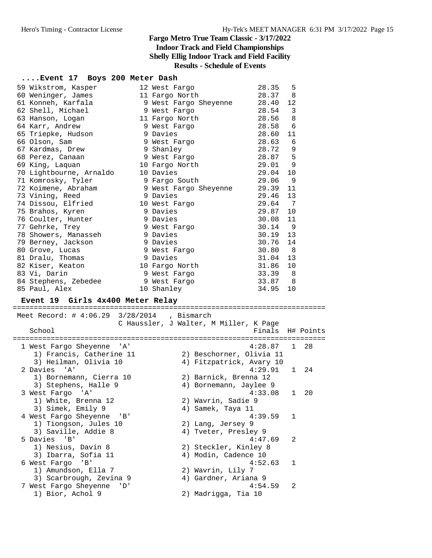#### **....Event 17 Boys 200 Meter Dash**

| 59 Wikstrom, Kasper                         |     | 12 West Fargo                          | 28.35            | 5            |    |
|---------------------------------------------|-----|----------------------------------------|------------------|--------------|----|
| 60 Weninger, James                          |     | 11 Fargo North                         | 28.37            | 8            |    |
| 61 Konneh, Karfala                          |     | 9 West Fargo Sheyenne                  | 28.40            | 12           |    |
| 62 Shell, Michael                           |     | 9 West Fargo                           | 28.54            | 3            |    |
| 63 Hanson, Logan                            |     | 11 Fargo North                         | 28.56            | 8            |    |
| 64 Karr, Andrew                             |     | 9 West Fargo                           | 28.58 6          |              |    |
| 65 Triepke, Hudson                          |     | 9 Davies                               | 28.60            | 11           |    |
| 66 Olson, Sam                               |     | 9 West Fargo                           | $28.63$ 6        |              |    |
| 67 Kardmas, Drew                            |     | 9 Shanley                              | 28.72            | 9            |    |
| 68 Perez, Canaan                            |     | 9 West Fargo                           | 28.87            | 5            |    |
| 69 King, Laquan                             |     | 10 Fargo North                         | 29.01            | 9            |    |
| 70 Lightbourne, Arnaldo                     |     | 10 Davies                              | 29.04            | 10           |    |
| 71 Komrosky, Tyler                          |     |                                        | 29.06 9          |              |    |
|                                             |     | 9 Fargo South                          |                  |              |    |
| 72 Koimene, Abraham                         |     | 9 West Fargo Sheyenne                  | 29.39            | 11           |    |
| 73 Vining, Reed                             |     | 9 Davies                               | 29.46            | 13           |    |
| 74 Dissou, Elfried                          |     | 10 West Fargo                          | 29.64            | - 7          |    |
| 75 Brahos, Kyren                            |     | 9 Davies                               | 29.87            | 10           |    |
| 76 Coulter, Hunter                          |     |                                        | 30.08            | 11           |    |
| 77 Gehrke, Trey                             |     | 9 Davies<br>9 West Fargo<br>9 Davies   | $30.14$ 9        |              |    |
| 78 Showers, Manasseh                        |     |                                        | 30.19            | 13           |    |
| 79 Berney, Jackson                          |     | 9 Davies                               | 30.76            | 14           |    |
| 80 Grove, Lucas                             |     | 9 West Fargo                           | 30.80 8          |              |    |
| 81 Dralu, Thomas                            |     | 9 Davies                               | 31.04            | 13           |    |
| 82 Kiser, Keaton                            |     | 10 Fargo North                         | 31.86            | 10           |    |
| 83 Vi, Darin                                |     | 9 West Fargo                           | 33.39 8          |              |    |
|                                             |     |                                        |                  |              |    |
|                                             |     |                                        |                  |              |    |
| 84 Stephens, Zebedee                        |     | 9 West Fargo<br>10 Shanley             | 33.87 8<br>34.95 | 10           |    |
| 85 Paul, Alex                               |     |                                        |                  |              |    |
| Event 19 Girls 4x400 Meter Relay            |     |                                        |                  |              |    |
|                                             |     |                                        |                  |              |    |
| Meet Record: # 4:06.29 3/28/2014 , Bismarch |     |                                        |                  |              |    |
|                                             |     | C Haussler, J Walter, M Miller, K Page |                  |              |    |
| School                                      |     |                                        | Finals H# Points |              |    |
|                                             |     |                                        |                  |              |    |
| 1 West Fargo Sheyenne 'A'                   |     |                                        | 4:28.87          | 1            | 28 |
| 1) Francis, Catherine 11                    |     | 2) Beschorner, Olivia 11               |                  |              |    |
| 3) Heilman, Olivia 10                       |     | 4) Fitzpatrick, Avary 10               |                  |              |    |
| 2 Davies 'A'                                |     |                                        | 4:29.91          | $\mathbf{1}$ | 24 |
| 1) Bornemann, Cierra 10                     |     | 2) Barnick, Brenna 12                  |                  |              |    |
| 3) Stephens, Halle 9                        |     | 4) Bornemann, Jaylee 9                 |                  |              |    |
| 3 West Fargo 'A'                            |     |                                        | 4:33.08          | 1            | 20 |
| 1) White, Brenna 12                         |     | 2) Wavrin, Sadie 9                     |                  |              |    |
|                                             |     |                                        |                  |              |    |
| 3) Simek, Emily 9                           |     | 4) Samek, Taya 11                      | 4:39.59          | 1            |    |
| 4 West Fargo Sheyenne 'B'                   |     |                                        |                  |              |    |
| 1) Tiongson, Jules 10                       |     | 2) Lang, Jersey 9                      |                  |              |    |
| 3) Saville, Addie 8                         |     | 4) Tveter, Presley 9                   |                  |              |    |
| 5 Davies 'B'                                |     |                                        | 4:47.69          | 2            |    |
| 1) Nesius, Davin 8                          |     | 2) Steckler, Kinley 8                  |                  |              |    |
| 3) Ibarra, Sofia 11                         |     | 4) Modin, Cadence 10                   |                  |              |    |
| 6 West Fargo 'B'                            |     |                                        | 4:52.63          | 1            |    |
| 1) Amundson, Ella 7                         |     | 2) Wavrin, Lily 7                      |                  |              |    |
| 3) Scarbrough, Zevina 9                     |     | 4) Gardner, Ariana 9                   |                  |              |    |
| 7 West Fargo Sheyenne                       | 'D' |                                        | 4:54.59          | 2            |    |
| 1) Bior, Achol 9                            |     | 2) Madrigga, Tia 10                    |                  |              |    |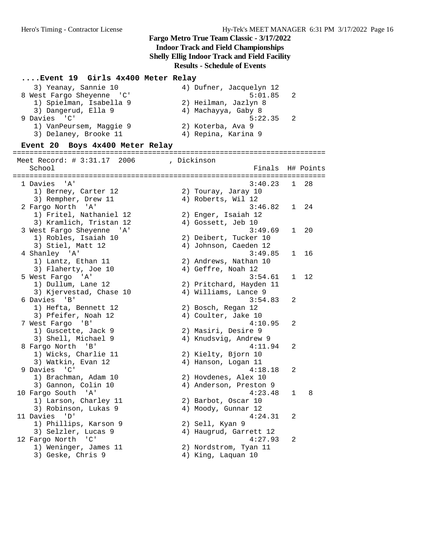#### **....Event 19 Girls 4x400 Meter Relay**

| 3) Yeanay, Sannie 10      | 4) Dufner, Jacquelyn 12 |
|---------------------------|-------------------------|
| 8 West Fargo Sheyenne 'C' | 5:01.85 2               |
| 1) Spielman, Isabella 9   | 2) Heilman, Jazlyn 8    |
| 3) Dangerud, Ella 9       | 4) Machayya, Gaby 8     |
| 9 Davies 'C'              | $5:22.35$ 2             |
| 1) VanPeursem, Maggie 9   | 2) Koterba, Ava 9       |
| 3) Delaney, Brooke 11     | 4) Repina, Karina 9     |
|                           |                         |

#### **Event 20 Boys 4x400 Meter Relay**

========================================================================== Meet Record: # 3:31.17 2006 , Dickinson School **Finals H# Points** ========================================================================== 1 Davies 'A' 3:40.23 1 28 1) Berney, Carter 12 2) Touray, Jaray 10 3) Rempher, Drew 11 4) Roberts, Wil 12 2 Fargo North 'A' 3:46.82 1 24 1) Fritel, Nathaniel 12 2) Enger, Isaiah 12 3) Kramlich, Tristan 12 4) Gossett, Jeb 10 3 West Fargo Sheyenne 'A' 3:49.69 1 20 1) Robles, Isaiah 10 2) Deibert, Tucker 10 3) Stiel, Matt 12 4) Johnson, Caeden 12 4 Shanley 'A' 3:49.85 1 16 1) Lantz, Ethan 11 2) Andrews, Nathan 10 3) Flaherty, Joe 10 (4) Geffre, Noah 12 5 West Fargo 'A' 3:54.61 1 12 1) Dullum, Lane 12 2) Pritchard, Hayden 11 3) Kjervestad, Chase 10 (4) Williams, Lance 9 6 Davies 'B' 3:54.83 2 1) Hefta, Bennett 12 (2) Bosch, Regan 12 3) Pfeifer, Noah 12 (4) Coulter, Jake 10 7 West Fargo 'B' 4:10.95 2 1) Guscette, Jack 9 2) Masiri, Desire 9 3) Shell, Michael 9 4) Knudsvig, Andrew 9 8 Fargo North 'B' 4:11.94 2 1) Wicks, Charlie 11 2) Kielty, Bjorn 10 3) Watkin, Evan 12 4) Hanson, Logan 11 9 Davies 'C' 4:18.18 2 1) Brachman, Adam 10 2) Hovdenes, Alex 10 3) Gannon, Colin 10 4) Anderson, Preston 9 10 Fargo South 'A' 4:23.48 1 8 1) Larson, Charley 11 2) Barbot, Oscar 10 3) Robinson, Lukas 9 (4) Moody, Gunnar 12 11 Davies 'D' 4:24.31 2 1) Phillips, Karson 9 2) Sell, Kyan 9 3) Selzler, Lucas 9 4) Haugrud, Garrett 12 12 Fargo North 'C' 4:27.93 2 1) Weninger, James 11 2) Nordstrom, Tyan 11 3) Geske, Chris 9 4) King, Laquan 10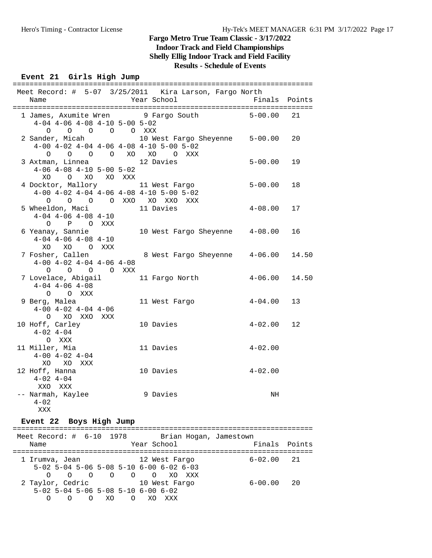#### **Event 21 Girls High Jump**

|                                                                                                     | Meet Record: # 5-07 3/25/2011 Kira Larson, Fargo North |               |                 |
|-----------------------------------------------------------------------------------------------------|--------------------------------------------------------|---------------|-----------------|
| Name                                                                                                | Year School                                            | Finals Points |                 |
|                                                                                                     | 1 James, Axumite Wren 9 Fargo South 5-00.00 21         |               |                 |
| $4-04$ $4-06$ $4-08$ $4-10$ $5-00$ $5-02$                                                           |                                                        |               |                 |
| 0 0 0 0 0 XXX                                                                                       |                                                        |               |                 |
|                                                                                                     | 2 Sander, Micah 10 West Fargo Sheyenne 5-00.00         |               | 20              |
| $4-00$ $4-02$ $4-04$ $4-06$ $4-08$ $4-10$ $5-00$ $5-02$                                             |                                                        |               |                 |
| 0 0 0 0 XO XO 0 XXX                                                                                 |                                                        |               |                 |
| 3 Axtman, Linnea (12 Davies                                                                         |                                                        | $5 - 00.00$   | 19              |
| $4-06$ $4-08$ $4-10$ $5-00$ $5-02$                                                                  |                                                        |               |                 |
| XO O XO XO XXX                                                                                      |                                                        |               |                 |
| 4 Docktor, Mallory 11 West Fargo                                                                    |                                                        | $5 - 00.00$   | 18              |
| $4-00$ $4-02$ $4-04$ $4-06$ $4-08$ $4-10$ $5-00$ $5-02$                                             |                                                        |               |                 |
| 0 0 0 0 XXO XO XXO XXX                                                                              |                                                        |               |                 |
| 5 Wheeldon, Maci                                                                                    | 11 Davies                                              | $4 - 08.00$   | 17              |
| $4-04$ $4-06$ $4-08$ $4-10$                                                                         |                                                        |               |                 |
| $\begin{matrix} \mathsf{O} \qquad & \mathsf{P} \qquad & \mathsf{O} \quad \mathsf{XXX} \end{matrix}$ |                                                        |               |                 |
| 6 Yeanay, Sannie                                                                                    | 10 West Fargo Sheyenne 4-08.00                         |               | 16              |
| $4-04$ $4-06$ $4-08$ $4-10$                                                                         |                                                        |               |                 |
| XO XO O XXX                                                                                         |                                                        |               |                 |
| 7 Fosher, Callen                                                                                    | 8 West Fargo Sheyenne 4-06.00                          |               | 14.50           |
| $4-00$ $4-02$ $4-04$ $4-06$ $4-08$                                                                  |                                                        |               |                 |
| 0 0 0 0 XXX                                                                                         |                                                        |               |                 |
| 7 Lovelace, Abigail                                                                                 | 11 Fargo North                                         | $4 - 06.00$   | 14.50           |
| $4-04$ $4-06$ $4-08$                                                                                |                                                        |               |                 |
| O O XXX                                                                                             |                                                        |               |                 |
| 9 Berg, Malea                                                                                       | 11 West Fargo                                          | $4-04.00$     | 13              |
| $4-00$ $4-02$ $4-04$ $4-06$                                                                         |                                                        |               |                 |
| O XO XXO XXX                                                                                        |                                                        |               |                 |
| 10 Hoff, Carley                                                                                     | 10 Davies                                              | $4-02.00$     | 12 <sup>°</sup> |
| $4 - 02$ $4 - 04$                                                                                   |                                                        |               |                 |
| O XXX<br>11 Miller, Mia                                                                             | 11 Davies                                              | $4 - 02.00$   |                 |
| $4-00$ $4-02$ $4-04$                                                                                |                                                        |               |                 |
| XO XO XXX                                                                                           |                                                        |               |                 |
| 12 Hoff, Hanna                                                                                      | 10 Davies                                              | $4 - 02.00$   |                 |
| $4 - 02$ $4 - 04$                                                                                   |                                                        |               |                 |
| XXO XXX                                                                                             |                                                        |               |                 |
| -- Narmah, Kaylee                                                                                   | 9 Davies                                               | NH            |                 |
| $4 - 02$                                                                                            |                                                        |               |                 |
| XXX                                                                                                 |                                                        |               |                 |

#### **Event 22 Boys High Jump**

| Meet Record: $\#$ 6-10 1978<br>Name                         |         |            |         | Year School |                                | Brian Hogan, Jamestown | Finals Points |
|-------------------------------------------------------------|---------|------------|---------|-------------|--------------------------------|------------------------|---------------|
| 1 Irumva, Jean<br>$5-02$ 5-04 5-06 5-08 5-10 6-00 6-02 6-03 |         |            |         |             | 12 West Fargo                  | $6 - 02.00$ 21         |               |
|                                                             |         |            |         |             | $O$ $O$ $O$ $O$ $O$ $XO$ $XXX$ |                        |               |
| 2 Taylor, Cedric                                            |         |            |         |             | 10 West Fargo                  | $6 - 00.00$            | -20           |
| $5-02$ 5-04 5-06 5-08 5-10 6-00 6-02                        |         |            |         |             |                                |                        |               |
|                                                             | $\circ$ | $\circ$ xo | $\circ$ | XO          | xxx                            |                        |               |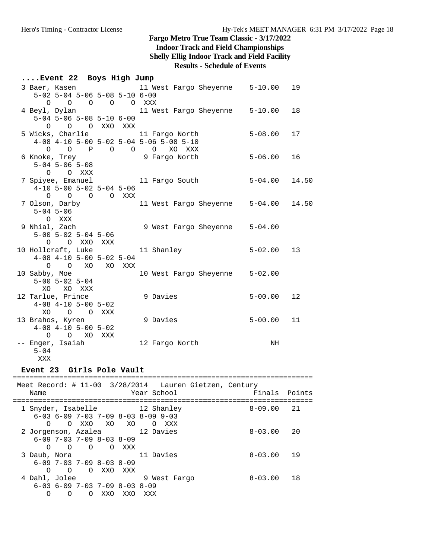#### **....Event 22 Boys High Jump**

|                                                       |     | 3 Baer, Kasen                       11 West Fargo Sheyenne     5-10.00 |             | 19    |
|-------------------------------------------------------|-----|------------------------------------------------------------------------|-------------|-------|
| $5-02$ $5-04$ $5-06$ $5-08$ $5-10$ $6-00$             |     |                                                                        |             |       |
| 0 0 0 0 0 XXX                                         |     |                                                                        |             |       |
|                                                       |     |                                                                        |             | 18    |
| $5-04$ 5-06 5-08 5-10 6-00                            |     |                                                                        |             |       |
| O O O XXO XXX                                         |     |                                                                        |             |       |
| 5 Wicks, Charlie                       11 Fargo North |     |                                                                        | $5 - 08.00$ | 17    |
| 4-08 4-10 5-00 5-02 5-04 5-06 5-08 5-10               |     |                                                                        |             |       |
|                                                       |     | 0 0 P 0 0 0 XO XXX                                                     |             |       |
|                                                       |     | 9 Fargo North                                                          | $5 - 06.00$ | 16    |
| 6 Knoke, Trey<br>5-04 5-06 5-08                       |     |                                                                        |             |       |
| O O XXX                                               |     |                                                                        |             |       |
| 7 Spiyee, Emanuel 11 Fargo South                      |     |                                                                        | $5 - 04.00$ | 14.50 |
| $4-10$ 5-00 5-02 5-04 5-06                            |     |                                                                        |             |       |
| 0 0 0 0 XXX                                           |     |                                                                        |             |       |
| 7 Olson, Darby                                        |     | 11 West Fargo Sheyenne                                                 | $5 - 04.00$ | 14.50 |
| $5 - 04$ 5-06                                         |     |                                                                        |             |       |
| O XXX                                                 |     |                                                                        |             |       |
| 9 Nhial, Zach                                         |     | 9 West Fargo Sheyenne 5-04.00                                          |             |       |
| $5-00$ $5-02$ $5-04$ $5-06$                           |     |                                                                        |             |       |
| O O XXO XXX                                           |     |                                                                        |             |       |
| 10 Hollcraft, Luke                                    |     | 11 Shanley                                                             | $5 - 02.00$ | 13    |
| $4-08$ $4-10$ $5-00$ $5-02$ $5-04$                    |     |                                                                        |             |       |
| O O XO XO XXX                                         |     |                                                                        |             |       |
| 10 Sabby, Moe                                         |     | 10 West Fargo Sheyenne 5-02.00                                         |             |       |
| $5 - 00$ $5 - 02$ $5 - 04$                            |     |                                                                        |             |       |
| XO XO XXX                                             |     |                                                                        |             |       |
| 12 Tarlue, Prince                                     |     | 9 Davies                                                               | $5 - 00.00$ | 12    |
| $4-08$ $4-10$ $5-00$ $5-02$                           |     |                                                                        |             |       |
| XO O O                                                | XXX |                                                                        |             |       |
| 13 Brahos, Kyren                                      |     | 9 Davies                                                               | $5 - 00.00$ | 11    |
| $4-08$ $4-10$ $5-00$ $5-02$                           |     |                                                                        |             |       |
| $O$ $O$ $XO$                                          | XXX |                                                                        |             |       |
| -- Enger, Isaiah                                      |     | 12 Fargo North                                                         | NH          |       |
| $5 - 04$                                              |     |                                                                        |             |       |
| XXX                                                   |     |                                                                        |             |       |

#### **Event 23 Girls Pole Vault**

| Meet Record: # 11-00 3/28/2014 Lauren Gietzen, Century<br>Year School<br>Name        | Finals Points                     |
|--------------------------------------------------------------------------------------|-----------------------------------|
| 12 Shanley<br>1 Snyder, Isabelle<br>$6-03$ $6-09$ $7-03$ $7-09$ $8-03$ $8-09$ $9-03$ | $8 - 09.00$ 21                    |
| OXXOXOXO<br>$\Omega$                                                                 | O XXX                             |
| 12 Davies<br>2 Jorgenson, Azalea                                                     | $8 - 03.00$<br>20                 |
| $6-09$ 7-03 7-09 8-03 8-09                                                           |                                   |
| $O$ $O$ $O$ $XXX$<br>$\Omega$                                                        |                                   |
| 3 Daub, Nora                                                                         | 11 Davies<br>$8 - 03.00$<br>19    |
| $6-09$ 7-03 7-09 8-03 8-09                                                           |                                   |
| O OXXOXXX<br>$\Omega$                                                                |                                   |
| 4 Dahl, Jolee                                                                        | $8 - 03.00$<br>18<br>9 West Fargo |
| $6-03$ $6-09$ $7-03$ $7-09$ $8-03$ $8-09$                                            |                                   |
| XXO<br>XXO<br>XXX<br>$\Omega$<br>O.<br>$\cap$                                        |                                   |
|                                                                                      |                                   |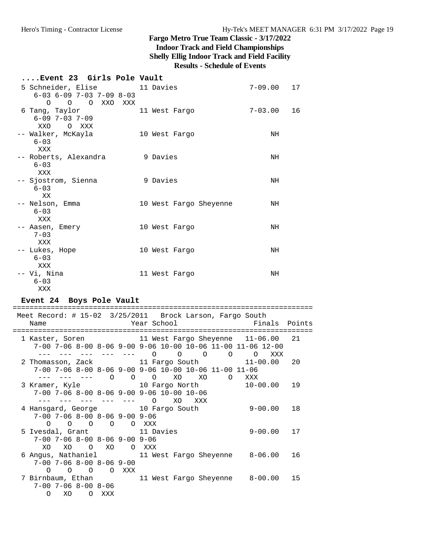#### **....Event 23 Girls Pole Vault**

| 5 Schneider, Elise 11 Davies<br>$6-03$ $6-09$ $7-03$ $7-09$ $8-03$ |                        | $7-09.00$      | 17 |
|--------------------------------------------------------------------|------------------------|----------------|----|
| O O O XXO XXX<br>6 Tanq, Taylor<br>$6 - 09$ 7-03 7-09              | 11 West Fargo          | $7 - 03.00$ 16 |    |
| XXO OXXX<br>-- Walker, McKayla<br>$6 - 03$<br>XXX                  | 10 West Fargo          | NH             |    |
| -- Roberts, Alexandra<br>$6 - 03$<br>XXX                           | 9 Davies               | NH             |    |
| -- Sjostrom, Sienna<br>$6 - 03$<br>XX                              | 9 Davies               | NH             |    |
| -- Nelson, Emma<br>$6 - 03$<br>XXX                                 | 10 West Fargo Sheyenne | NH             |    |
| -- Aasen, Emery<br>$7 - 03$<br>XXX                                 | 10 West Fargo          | NH             |    |
| -- Lukes, Hope<br>$6 - 03$<br>XXX                                  | 10 West Fargo          | NH             |    |
| -- Vi, Nina<br>$6 - 03$<br>XXX                                     | 11 West Fargo          | NH             |    |

#### **Event 24 Boys Pole Vault**

|                                           |                     | Meet Record: # 15-02 3/25/2011 Brock Larson, Fargo South                          |            |  |  |  |  |
|-------------------------------------------|---------------------|-----------------------------------------------------------------------------------|------------|--|--|--|--|
| Name                                      |                     | Year School Terrain and Points Points                                             |            |  |  |  |  |
|                                           | ------------------- |                                                                                   |            |  |  |  |  |
|                                           |                     | 1 Kaster, Soren 11 West Fargo Sheyenne 11-06.00 21                                |            |  |  |  |  |
|                                           |                     | $7-00$ $7-06$ $8-00$ $8-06$ $9-00$ $9-06$ $10-00$ $10-06$ $11-00$ $11-06$ $12-00$ |            |  |  |  |  |
|                                           |                     | --- --- --- --- 0 0 0 0 0 0 XXX                                                   |            |  |  |  |  |
|                                           |                     | 2 Thomasson, Zack 11 Fargo South 11-00.00 20                                      |            |  |  |  |  |
|                                           |                     | $7-00$ $7-06$ $8-00$ $8-06$ $9-00$ $9-06$ $10-00$ $10-06$ $11-00$ $11-06$         |            |  |  |  |  |
|                                           |                     | --- --- --- 0 0 0 X0 X0 0 XXX                                                     |            |  |  |  |  |
|                                           |                     | 3 Kramer, Kyle 10 Fargo North 10-00.00 19                                         |            |  |  |  |  |
|                                           |                     | $7-00$ $7-06$ $8-00$ $8-06$ $9-00$ $9-06$ $10-00$ $10-06$                         |            |  |  |  |  |
|                                           |                     | --- --- --- --- --- 0 XO XXX                                                      |            |  |  |  |  |
|                                           |                     | 4 Hansgard, George 10 Fargo South<br>9-00.00 18                                   |            |  |  |  |  |
| $7-00$ $7-06$ $8-00$ $8-06$ $9-00$ $9-06$ |                     |                                                                                   |            |  |  |  |  |
| OOOOOOXXX                                 |                     |                                                                                   |            |  |  |  |  |
| 5 Ivesdal, Grant 11 Davies                |                     |                                                                                   | 9-00.00 17 |  |  |  |  |
| $7-00$ $7-06$ $8-00$ $8-06$ $9-00$ $9-06$ |                     |                                                                                   |            |  |  |  |  |
| XO XO O XO O XXX                          |                     |                                                                                   |            |  |  |  |  |
|                                           |                     | 6 Angus, Nathaniel 11 West Fargo Sheyenne 8-06.00 16                              |            |  |  |  |  |
| $7-00$ $7-06$ $8-00$ $8-06$ $9-00$        |                     |                                                                                   |            |  |  |  |  |
| $O$ $O$ $O$ $O$ $XXX$                     |                     |                                                                                   |            |  |  |  |  |
|                                           |                     | 7 Birnbaum, Ethan 11 West Fargo Sheyenne 8-00.00 15                               |            |  |  |  |  |
| $7-00$ $7-06$ $8-00$ $8-06$               |                     |                                                                                   |            |  |  |  |  |
| O XO O XXX                                |                     |                                                                                   |            |  |  |  |  |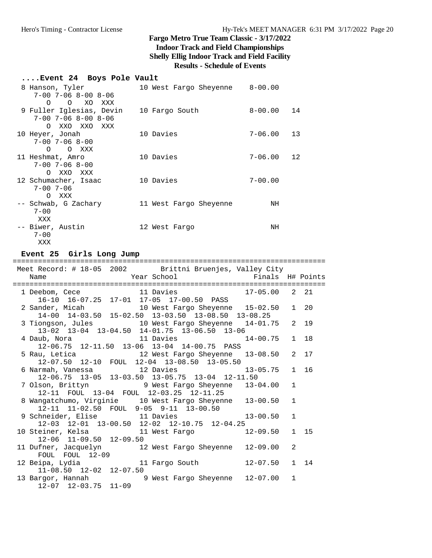#### **....Event 24 Boys Pole Vault**

| 8 | Hanson, Tyler                       | 10 West Fargo Sheyenne | $8 - 00.00$       |
|---|-------------------------------------|------------------------|-------------------|
|   | $7 - 00$ $7 - 06$ $8 - 00$ $8 - 06$ |                        |                   |
|   | XO<br>$\overline{O}$<br>XXX<br>O    |                        |                   |
|   | 9 Fuller Iglesias, Devin            | 10 Fargo South         | $8 - 00.00$<br>14 |
|   | $7 - 00$ $7 - 06$ $8 - 00$ $8 - 06$ |                        |                   |
|   | XXO XXO<br>XXX<br>O                 |                        |                   |
|   | 10 Heyer, Jonah                     | 10 Davies              | $7 - 06.00$<br>13 |
|   | $7 - 00$ $7 - 06$ $8 - 00$          |                        |                   |
|   | O XXX<br>O                          |                        |                   |
|   | 11 Heshmat, Amro                    | 10 Davies              | $7 - 06.00$<br>12 |
|   | $7 - 00$ $7 - 06$ $8 - 00$          |                        |                   |
|   | O XXO XXX                           |                        |                   |
|   | 12 Schumacher, Isaac                | 10 Davies              | $7 - 00.00$       |
|   | $7 - 00$ 7-06                       |                        |                   |
|   | $\Omega$<br>XXX                     |                        |                   |
|   | -- Schwab, G Zachary                | 11 West Fargo Sheyenne | NH                |
|   | $7 - 00$                            |                        |                   |
|   | XXX                                 |                        |                   |
|   | -- Biwer, Austin                    | 12 West Fargo          | NH                |
|   | $7 - 00$                            |                        |                   |

XXX

**Event 25 Girls Long Jump**

========================================================================== Meet Record: # 18-05 2002 Brittni Bruenjes, Valley City Name The Year School The Points H# Points ========================================================================== 1 Deebom, Cece 11 Davies 17-05.00 2 21 16-10 16-07.25 17-01 17-05 17-00.50 PASS 2 Sander, Micah 10 West Fargo Sheyenne 15-02.50 1 20 14-00 14-03.50 15-02.50 13-03.50 13-08.50 13-08.25 3 Tiongson, Jules 10 West Fargo Sheyenne 14-01.75 2 19 13-02 13-04 13-04.50 14-01.75 13-06.50 13-06 4 Daub, Nora 11 Davies 14-00.75 1 18 12-06.75 12-11.50 13-06 13-04 14-00.75 PASS 5 Rau, Letica 12 West Fargo Sheyenne 13-08.50 2 17 12-07.50 12-10 FOUL 12-04 13-08.50 13-05.50 6 Narmah, Vanessa 12 Davies 13-05.75 1 16 12-06.75 13-05 13-03.50 13-05.75 13-04 12-11.50 7 Olson, Brittyn 9 West Fargo Sheyenne 13-04.00 1 12-11 FOUL 13-04 FOUL 12-03.25 12-11.25 8 Wangatchumo, Virginie 10 West Fargo Sheyenne 13-00.50 1 12-11 11-02.50 FOUL 9-05 9-11 13-00.50 9 Schneider, Elise 11 Davies 13-00.50 1 12-03 12-01 13-00.50 12-02 12-10.75 12-04.25 10 Steiner, Kelsa 11 West Fargo 12-09.50 1 15 12-06 11-09.50 12-09.50 11 Dufner, Jacquelyn 12 West Fargo Sheyenne 12-09.00 2 FOUL FOUL 12-09 12 Beipa, Lydia 11 Fargo South 12-07.50 1 14 11-08.50 12-02 12-07.50<br>5 13 Bargor, Hannah 9 West Fargo Sheyenne 12-07.00 1 12-07 12-03.75 11-09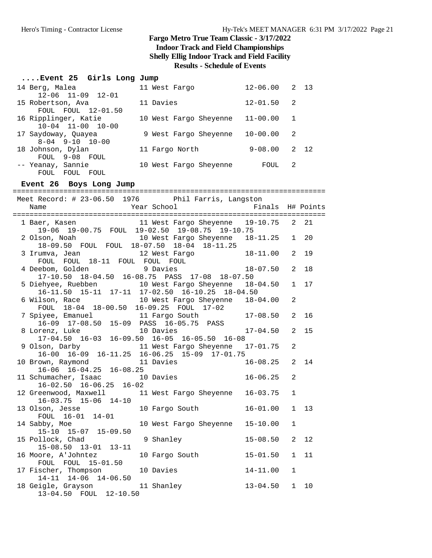#### **....Event 25 Girls Long Jump**

| 14 Berg, Malea<br>$12 - 06$ $11 - 09$ $12 - 01$       | 11 West Fargo          | 12-06.00     | 2 13 |
|-------------------------------------------------------|------------------------|--------------|------|
| 15 Robertson, Ava<br>FOUL FOUL 12-01.50               | 11 Davies              | $12 - 01.50$ | 2    |
| 16 Ripplinger, Katie<br>$10 - 04$ $11 - 00$ $10 - 00$ | 10 West Fargo Sheyenne | $11 - 00.00$ | 1    |
| 17 Saydoway, Quayea<br>$8-04$ $9-10$ $10-00$          | 9 West Fargo Sheyenne  | $10 - 00.00$ | 2    |
| 18 Johnson, Dylan<br>FOUL 9-08 FOUL                   | 11 Fargo North         | $9 - 08.00$  | 2 12 |
| -- Yeanay, Sannie<br>FOUL<br>FOUL<br>FOUL             | 10 West Fargo Sheyenne | <b>FOUL</b>  | 2    |

#### **Event 26 Boys Long Jump**

========================================================================== Meet Record: # 23-06.50 1976 Phil Farris, Langston Name The Year School The Pinals H# Points ========================================================================== 1 Baer, Kasen 11 West Fargo Sheyenne 19-10.75 2 21 19-06 19-00.75 FOUL 19-02.50 19-08.75 19-10.75 2 Olson, Noah 10 West Fargo Sheyenne 18-11.25 1 20 18-09.50 FOUL FOUL 18-07.50 18-04 18-11.25 3 Irumva, Jean 12 West Fargo 18-11.00 2 19 rumva, Jean<br>FOUL FOUL 18-11 FOUL FOUL FOUL<br>Consider 4 Deebom, Golden 9 Davies 18-07.50 2 18 17-10.50 18-04.50 16-08.75 PASS 17-08 18-07.50 5 Diehyee, Ruebben 10 West Fargo Sheyenne 18-04.50 1 17 16-11.50 15-11 17-11 17-02.50 16-10.25 18-04.50 6 Wilson, Race 10 West Fargo Sheyenne 18-04.00 2 FOUL 18-04 18-00.50 16-09.25 FOUL 17-02 7 Spiyee, Emanuel 11 Fargo South 17-08.50 2 16 16-09 17-08.50 15-09 PASS 16-05.75 PASS 8 Lorenz, Luke 10 Davies 17-04.50 2 15 17-04.50 16-03 16-09.50 16-05 16-05.50 16-08 9 Olson, Darby 11 West Fargo Sheyenne 17-01.75 2 16-00 16-09 16-11.25 16-06.25 15-09 17-01.75 10 Brown, Raymond 11 Davies 16-08.25 2 14 16-06 16-04.25 16-08.25 11 Schumacher, Isaac 10 Davies 16-06.25 2 16-02.50 16-06.25 16-02 12 Greenwood, Maxwell 11 West Fargo Sheyenne 16-03.75 1 16-03.75 15-06 14-10 13 Olson, Jesse 10 Fargo South 16-01.00 1 13 FOUL 16-01 14-01<br>14 Sabby, Moe 10 West Fargo Sheyenne 15-10.00 1 15-10 15-07 15-09.50 15 Pollock, Chad 9 Shanley 15-08.50 2 12 15-08.50 13-01 13-11 16 Moore, A'Johntez 10 Fargo South 15-01.50 1 11 FOUL FOUL 15-01.50 17 Fischer, Thompson 10 Davies 14-11.00 1 14-11 14-06 14-06.50 18 Geigle, Grayson 11 Shanley 13-04.50 1 10 13-04.50 FOUL 12-10.50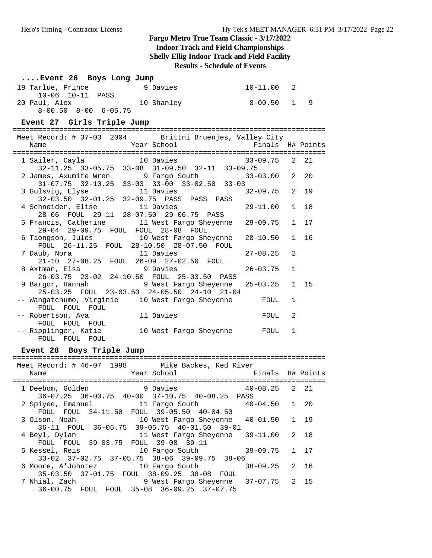| Event 26 Boys Long Jump    |            |             |  |
|----------------------------|------------|-------------|--|
| 19 Tarlue, Prince          | 9 Davies   | 10-11.00 2  |  |
| 10-06 10-11 PASS           |            |             |  |
| 20 Paul, Alex              | 10 Shanley | 8-00.50 1 9 |  |
| $8-00.50$ $8-00$ $6-05.75$ |            |             |  |

| Event 27 Girls Triple Jump                                                                                                             |              |              |  |
|----------------------------------------------------------------------------------------------------------------------------------------|--------------|--------------|--|
| Meet Record: # 37-03 2004 Brittni Bruenjes, Valley City<br>Year School Finals H# Points<br>Name                                        |              |              |  |
| 1 Sailer, Cayla                 10 Davies                       33-09.75     2   21<br>32-11.25 33-05.75 33-08 31-09.50 32-11 33-09.75 |              |              |  |
| 2 James, Axumite Wren 9 Fargo South 33-03.00 2 20<br>31-07.75 32-10.25 33-03 33-00 33-02.50 33-03                                      |              |              |  |
| 3 Gulsvig, Elyse 11 Davies 32-09.75 2 19<br>32-03.50 32-01.25 32-09.75 PASS PASS PASS                                                  |              |              |  |
| 4 Schneider, Elise 11 Davies 29-11.00 1 18<br>28-06 FOUL 29-11 28-07.50 29-06.75 PASS                                                  |              |              |  |
| 5 Francis, Catherine 11 West Fargo Sheyenne 29-09.75 1 17<br>29-04 29-09.75 FOUL FOUL 28-08 FOUL                                       |              |              |  |
| 6 Tiongson, Jules 10 West Fargo Sheyenne 28-10.50 1 16<br>FOUL 26-11.25 FOUL 28-10.50 28-07.50 FOUL                                    |              |              |  |
| 7 Daub, Nora 11 Davies 27-08.25<br>21-10 27-08.25 FOUL 26-09 27-02.50 FOUL                                                             |              | 2            |  |
| 8 Axtman, Elsa (2008) 9 Davies<br>26-03.75 23-02 24-10.50 FOUL 25-03.50 PASS                                                           | $26 - 03.75$ | $\mathbf{1}$ |  |
| 9 Bargor, Hannah 3 9 West Fargo Sheyenne 25-03.25 1 15<br>25-03.25 FOUL 23-03.50 24-05.50 24-10 21-04                                  |              |              |  |
| -- Wangatchumo, Virginie 10 West Fargo Sheyenne FOUL                                                                                   |              | 1            |  |
| FOUL FOUL FOUL<br>-- Robertson, Ava 11 Davies<br>FOUL FOUL FOUL                                                                        | FOUL         | 2            |  |
| -- Ripplinger, Katie 10 West Fargo Sheyenne FOUL 1<br>FOUL FOUL FOUL                                                                   |              |              |  |
| Event 28 Boys Triple Jump                                                                                                              |              |              |  |

========================================================================== Meet Record: # 46-07 1998 Mike Backes, Red River Name Year School Finals H# Points ========================================================================== 1 Deebom, Golden 9 Davies 40-08.25 2 21 36-07.25 36-00.75 40-00 37-10.75 40-08.25 PASS 2 Spiyee, Emanuel 11 Fargo South 40-04.50 1 20 FOUL FOUL 34-11.50 FOUL 39-05.50 40-04.50 10 West Fargo Sheyenne 40-01.50 1 19 36-11 FOUL 36-05.75 39-05.75 40-01.50 39-01<br>4 Bevl, Dylan 11 West Fargo Sheyenne 11 West Fargo Sheyenne 39-11.00 2 18 FOUL FOUL 39-03.75 FOUL 39-08 39-11 5 Kessel, Reis 10 Fargo South 39-09.75 1 17 33-02 37-02.75 37-05.75 38-06 39-09.75 38-06 6 Moore, A'Johntez 10 Fargo South 38-09.25 2 16 35-03.50 37-01.75 FOUL 38-09.25 38-08 FOUL 7 Nhial, Zach 9 West Fargo Sheyenne 37-07.75 2 15 36-00.75 FOUL FOUL 35-08 36-09.25 37-07.75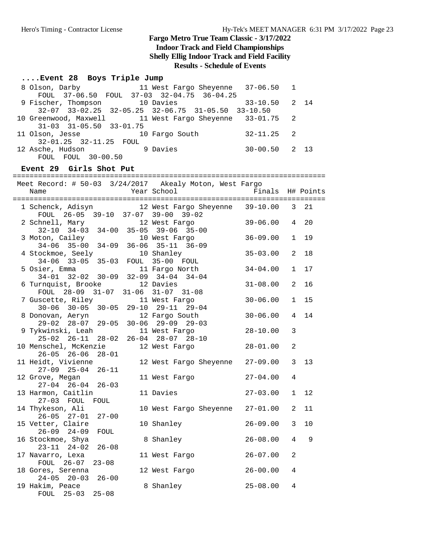#### **....Event 28 Boys Triple Jump**

| 8 Olson, Darby                                                 | 11 West Fargo Sheyenne 37-06.50 1 |                   |  |
|----------------------------------------------------------------|-----------------------------------|-------------------|--|
| FOUL 37-06.50 FOUL 37-03 32-04.75 36-04.25                     |                                   |                   |  |
| 9 Fischer, Thompson 10 Davies                                  |                                   | $33 - 10.50$ 2 14 |  |
| $32-07$ $33-02.25$ $32-05.25$ $32-06.75$ $31-05.50$ $33-10.50$ |                                   |                   |  |
| 10 Greenwood, Maxwell 11 West Fargo Sheyenne 33-01.75 2        |                                   |                   |  |
| $31-03$ $31-05.50$ $33-01.75$                                  |                                   |                   |  |
| 11 Olson, Jesse                                                | 10 Fargo South                    | $32 - 11.25$ 2    |  |
| 32-01.25 32-11.25 FOUL                                         |                                   |                   |  |
| 12 Asche, Hudson                                               | 9 Davies                          | $30 - 00.50$ 2 13 |  |
| FOUL FOUL 30-00.50                                             |                                   |                   |  |

#### **Event 29 Girls Shot Put**

========================================================================== Meet Record: # 50-03 3/24/2017 Akealy Moton, West Fargo

| Name                                                                 | Year School                     | Finals H# Points |                |    |
|----------------------------------------------------------------------|---------------------------------|------------------|----------------|----|
| 1 Schenck, Adisyn 12 West Fargo Sheyenne 39-10.00                    |                                 |                  | 3 <sup>7</sup> | 21 |
| FOUL 26-05 39-10 37-07 39-00 39-02                                   |                                 |                  |                |    |
| 2 Schnell, Mary                                                      | 12 West Fargo                   | $39 - 06.00$     | $\overline{4}$ | 20 |
| 32-10 34-03 34-00 35-05 39-06 35-00                                  |                                 |                  |                |    |
|                                                                      |                                 | $36 - 09.00$     | $\mathbf{1}$   | 19 |
| 3 Moton, Cailey 10 West Fargo<br>34-06 35-00 34-09 36-06 35-11 36-09 |                                 |                  |                |    |
| 4 Stockmoe, Seely                                                    | 10 Shanley                      | $35 - 03.00$     | 2              | 18 |
| 34-06 33-05 35-03 FOUL 35-00 FOUL                                    |                                 |                  |                |    |
| 5 Osier, Emma                                                        | 11 Fargo North                  | $34 - 04.00$     | $\mathbf{1}$   | 17 |
| 34-01 32-02 30-09 32-09 34-04 34-04                                  |                                 |                  |                |    |
| 6 Turnquist, Brooke                                                  | 12 Davies                       | $31 - 08.00$     | 2              | 16 |
| FOUL 28-09 31-07 31-06 31-07 31-08                                   |                                 |                  |                |    |
| 7 Guscette, Riley                                                    | 11 West Fargo                   | $30 - 06.00$     | $\mathbf{1}$   | 15 |
| $30-06$ $30-05$ $30-05$ $29-10$ $29-11$ $29-04$                      |                                 |                  |                |    |
| 8 Donovan, Aeryn                                                     | 12 Fargo South                  | $30 - 06.00$     | 4              | 14 |
| $29-02$ $28-07$ $29-05$ $30-06$ $29-09$ $29-03$                      |                                 |                  |                |    |
| 9 Tykwinski, Leah                                                    | 11 West Fargo                   | $28 - 10.00$     | 3              |    |
| 25-02 26-11 28-02 26-04 28-07 28-10                                  |                                 |                  |                |    |
| 10 Menschel, McKenzie                                                | 12 West Fargo                   | $28 - 01.00$     | 2              |    |
| $26-05$ $26-06$ $28-01$                                              |                                 |                  |                |    |
| 11 Heidt, Vivienne                                                   | 12 West Fargo Sheyenne          | $27 - 09.00$     | $\overline{3}$ | 13 |
| $27-09$ $25-04$ $26-11$                                              |                                 | $27 - 04.00$     | 4              |    |
| 12 Grove, Megan<br>$27-04$ $26-04$ $26-03$                           | 11 West Fargo                   |                  |                |    |
| 13 Harmon, Caitlin                                                   | 11 Davies                       | $27 - 03.00$     | $\mathbf{1}$   | 12 |
| 27-03 FOUL FOUL                                                      |                                 |                  |                |    |
| 14 Thykeson, Ali                                                     | 10 West Fargo Sheyenne 27-01.00 |                  | 2              | 11 |
| $26 - 05$ $27 - 01$<br>$27 - 00$                                     |                                 |                  |                |    |
| 15 Vetter, Claire                                                    | 10 Shanley                      | $26 - 09.00$     | $\overline{3}$ | 10 |
| $26 - 09$ $24 - 09$<br>FOUL                                          |                                 |                  |                |    |
| 16 Stockmoe, Shya                                                    | 8 Shanley                       | $26 - 08.00$     | 4              | 9  |
| $23-11$ $24-02$ $26-08$                                              |                                 |                  |                |    |
| 17 Navarro, Lexa                                                     | 11 West Fargo                   | $26 - 07.00$     | 2              |    |
| FOUL 26-07 23-08                                                     |                                 |                  |                |    |
| 18 Gores, Serenna                                                    | 12 West Fargo                   | $26 - 00.00$     | $\overline{4}$ |    |
| $26 - 00$<br>$24 - 05$ 20-03                                         |                                 |                  |                |    |
| 19 Hakim, Peace                                                      | 8 Shanley                       | $25 - 08.00$     | 4              |    |
| $25 - 08$<br>FOUL 25-03                                              |                                 |                  |                |    |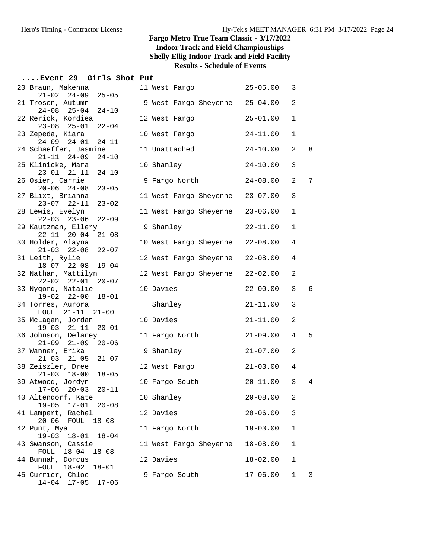#### **....Event 29 Girls Shot Put**

| 20 Braun, Makenna                                         | 11 West Fargo                  | $25 - 05.00$ | 3              |   |
|-----------------------------------------------------------|--------------------------------|--------------|----------------|---|
| $21 - 02$ $24 - 09$<br>$25 - 05$                          |                                |              |                |   |
| 21 Trosen, Autumn<br>$24 - 08$ 25-04<br>$24 - 10$         | 9 West Fargo Sheyenne 25-04.00 |              | 2              |   |
| 22 Rerick, Kordiea                                        | 12 West Fargo                  | $25 - 01.00$ | $\mathbf 1$    |   |
| $23 - 08$ $25 - 01$<br>$22 - 04$                          |                                |              |                |   |
| 23 Zepeda, Kiara                                          | 10 West Fargo                  | $24 - 11.00$ | 1              |   |
| $24-09$ $24-01$<br>$24 - 11$                              |                                |              |                |   |
| 24 Schaeffer, Jasmine<br>$21 - 11$ $24 - 09$<br>$24 - 10$ | 11 Unattached                  | $24 - 10.00$ | 2              | 8 |
| 25 Klinicke, Mara                                         | 10 Shanley                     | $24 - 10.00$ | 3              |   |
| $23 - 01$ $21 - 11$<br>$24 - 10$                          |                                |              |                |   |
| 26 Osier, Carrie                                          | 9 Fargo North                  | $24 - 08.00$ | $\overline{2}$ | 7 |
| $20 - 06$ $24 - 08$<br>$23 - 05$                          |                                |              |                |   |
| 27 Blixt, Brianna<br>$23 - 07$ $22 - 11$                  | 11 West Fargo Sheyenne         | $23 - 07.00$ | 3              |   |
| $23 - 02$<br>28 Lewis, Evelyn                             | 11 West Fargo Sheyenne         | $23 - 06.00$ | $\mathbf 1$    |   |
| $22 - 03$ $23 - 06$<br>$22 - 09$                          |                                |              |                |   |
| 29 Kautzman, Ellery                                       | 9 Shanley                      | $22 - 11.00$ | 1              |   |
| $22 - 11$ $20 - 04$<br>$21 - 08$                          |                                |              |                |   |
| 30 Holder, Alayna                                         | 10 West Fargo Sheyenne         | $22 - 08.00$ | 4              |   |
| $21 - 03$ $22 - 08$<br>$22 - 07$<br>31 Leith, Rylie       | 12 West Fargo Sheyenne         | $22 - 08.00$ | 4              |   |
| $18-07$ $22-08$<br>$19 - 04$                              |                                |              |                |   |
| 32 Nathan, Mattilyn                                       | 12 West Fargo Sheyenne         | $22 - 02.00$ | 2              |   |
| $22-02$ $22-01$ $20-07$                                   |                                |              |                |   |
| 33 Nygord, Natalie                                        | 10 Davies                      | $22 - 00.00$ | 3              | 6 |
| 19-02 22-00 18-01<br>34 Torres, Aurora                    |                                |              | 3              |   |
| FOUL 21-11 21-00                                          | Shanley                        | $21 - 11.00$ |                |   |
| 35 McLagan, Jordan                                        | 10 Davies                      | $21 - 11.00$ | $\overline{a}$ |   |
| $19 - 03$ $21 - 11$<br>$20 - 01$                          |                                |              |                |   |
| 36 Johnson, Delaney                                       | 11 Fargo North                 | $21 - 09.00$ | 4              | 5 |
| $21-09$ $21-09$ $20-06$                                   |                                |              |                |   |
| 37 Wanner, Erika<br>$21 - 03$ $21 - 05$<br>$21 - 07$      | 9 Shanley                      | $21 - 07.00$ | 2              |   |
| 38 Zeiszler, Dree                                         | 12 West Fargo                  | $21 - 03.00$ | 4              |   |
| $21 - 03$ $18 - 00$<br>$18 - 05$                          |                                |              |                |   |
| 39 Atwood, Jordyn                                         | 10 Fargo South                 | $20 - 11.00$ | 3              | 4 |
| $17 - 06$ $20 - 03$<br>$20 - 11$                          |                                |              |                |   |
| 40 Altendorf, Kate<br>19-05 17-01 20-08                   | 10 Shanley                     | $20 - 08.00$ | 2              |   |
| 41 Lampert, Rachel                                        | 12 Davies                      | $20 - 06.00$ | 3              |   |
| 20-06 FOUL 18-08                                          |                                |              |                |   |
| 42 Punt, Mya                                              | 11 Fargo North                 | $19 - 03.00$ | 1              |   |
| 19-03 18-01 18-04                                         |                                |              |                |   |
| 43 Swanson, Cassie                                        | 11 West Fargo Sheyenne         | $18 - 08.00$ | 1              |   |
| FOUL 18-04<br>$18 - 08$<br>44 Bunnah, Dorcus              | 12 Davies                      | $18 - 02.00$ | 1              |   |
| FOUL 18-02<br>$18 - 01$                                   |                                |              |                |   |
| 45 Currier, Chloe                                         | 9 Fargo South                  | $17 - 06.00$ | $\mathbf{1}$   | 3 |
| 14-04 17-05 17-06                                         |                                |              |                |   |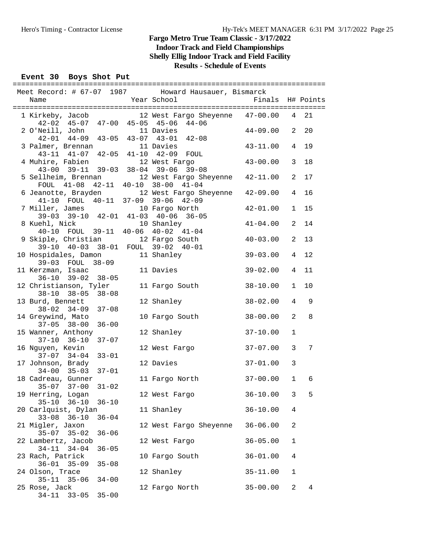#### **Event 30 Boys Shot Put**

| Meet Record: # 67-07 1987 Howard Hausauer, Bismarck              |                                 |                  |                 |    |
|------------------------------------------------------------------|---------------------------------|------------------|-----------------|----|
| Name                                                             | Year School                     | Finals H# Points |                 |    |
| 1 Kirkeby, Jacob 12 West Fargo Sheyenne 47-00.00                 |                                 |                  | $4\phantom{0}$  | 21 |
| 42-02 45-07 47-00 45-05 45-06 44-06                              |                                 |                  |                 |    |
| 2 O'Neill, John 11 Davies<br>42-01 44-09 43-05 43-07 43-01 42-08 |                                 | $44 - 09.00$     | 2               | 20 |
|                                                                  |                                 |                  |                 |    |
| 3 Palmer, Brennan                                                | 11 Davies                       | 43-11.00         | $4\overline{ }$ | 19 |
| 43-11 41-07 42-05 41-10 42-09 FOUL                               |                                 |                  | $\mathbf{3}$    |    |
| 4 Muhire, Fabien                                                 | 12 West Fargo                   | $43 - 00.00$     |                 | 18 |
| 43-00 39-11 39-03 38-04 39-06 39-08<br>5 Sellheim, Brennan       | 12 West Fargo Sheyenne 42-11.00 |                  | 2               | 17 |
| FOUL 41-08 42-11 40-10 38-00 41-04                               |                                 |                  |                 |    |
| 6 Jeanotte, Brayden                                              | 12 West Fargo Sheyenne          | $42 - 09.00$     | 4               | 16 |
| 41-10 FOUL 40-11 37-09 39-06 42-09                               |                                 |                  |                 |    |
| 7 Miller, James 10 Fargo North                                   |                                 | $42 - 01.00$     | $\mathbf{1}$    | 15 |
| 39-03 39-10 42-01 41-03 40-06 36-05                              |                                 |                  |                 |    |
| 8 Kuehl, Nick                                                    | 10 Shanley                      | $41 - 04.00$     | 2               | 14 |
| 40-10 FOUL 39-11 40-06 40-02 41-04                               |                                 |                  |                 |    |
| 9 Skiple, Christian                                              | 12 Fargo South                  | $40 - 03.00$     | 2               | 13 |
| 39-10 40-03 38-01 FOUL 39-02 40-01                               |                                 |                  |                 |    |
| 10 Hospidales, Damon                                             | 11 Shanley                      | $39 - 03.00$     | $\overline{4}$  | 12 |
| 39-03 FOUL 38-09                                                 |                                 |                  |                 |    |
| 11 Kerzman, Isaac                                                | 11 Davies                       | $39 - 02.00$     | 4               | 11 |
| $36 - 10$ $39 - 02$ $38 - 05$                                    |                                 |                  |                 |    |
| 12 Christianson, Tyler                                           | 11 Fargo South                  | $38 - 10.00$     | 1               | 10 |
| $38 - 05$<br>$38 - 08$<br>$38 - 10$                              | 12 Shanley                      | $38 - 02.00$     | 4               | 9  |
| 13 Burd, Bennett<br>$38 - 02$ $34 - 09$ $37 - 08$                |                                 |                  |                 |    |
| 14 Greywind, Mato                                                | 10 Fargo South                  | $38 - 00.00$     | 2               | 8  |
| $37 - 05$ $38 - 00$<br>$36 - 00$                                 |                                 |                  |                 |    |
| 15 Wanner, Anthony                                               | 12 Shanley                      | $37 - 10.00$     | $\mathbf{1}$    |    |
| $37-10$ $36-10$ $37-07$                                          |                                 |                  |                 |    |
| 16 Nguyen, Kevin                                                 | 12 West Fargo                   | $37 - 07.00$     | $\mathbf{3}$    | 7  |
| $37-07$ $34-04$ $33-01$                                          |                                 |                  |                 |    |
| 17 Johnson, Brady                                                | 12 Davies                       | $37 - 01.00$     | 3               |    |
| $34 - 00$ $35 - 03$<br>$37 - 01$                                 |                                 |                  |                 |    |
| 18 Cadreau, Gunner                                               | 11 Fargo North                  | 37-00.00         | $\mathbf{1}$    | 6  |
| $35 - 07$ $37 - 00$<br>$31 - 02$                                 |                                 |                  |                 |    |
| 19 Herring, Logan                                                | 12 West Fargo                   | $36 - 10.00$     | $\mathbf{3}$    | 5  |
| $35 - 10$ $36 - 10$<br>$36 - 10$                                 |                                 |                  |                 |    |
| 20 Carlquist, Dylan                                              | 11 Shanley                      | $36 - 10.00$     | 4               |    |
| $33 - 08$ $36 - 10$<br>$36 - 04$                                 |                                 | $36 - 06.00$     |                 |    |
| 21 Migler, Jaxon<br>$35 - 07$ $35 - 02$<br>$36 - 06$             | 12 West Fargo Sheyenne          |                  | 2               |    |
| 22 Lambertz, Jacob                                               | 12 West Fargo                   | $36 - 05.00$     | 1               |    |
| $34-11$ $34-04$<br>$36 - 05$                                     |                                 |                  |                 |    |
| 23 Rach, Patrick                                                 | 10 Fargo South                  | $36 - 01.00$     | 4               |    |
| $36 - 01$ $35 - 09$<br>$35 - 08$                                 |                                 |                  |                 |    |
| 24 Olson, Trace                                                  | 12 Shanley                      | $35 - 11.00$     | 1               |    |
| $35 - 11$<br>$35 - 06$<br>$34 - 00$                              |                                 |                  |                 |    |
| 25 Rose, Jack                                                    | 12 Fargo North                  | $35 - 00.00$     | 2               | 4  |
| $34 - 11$ $33 - 05$<br>$35 - 00$                                 |                                 |                  |                 |    |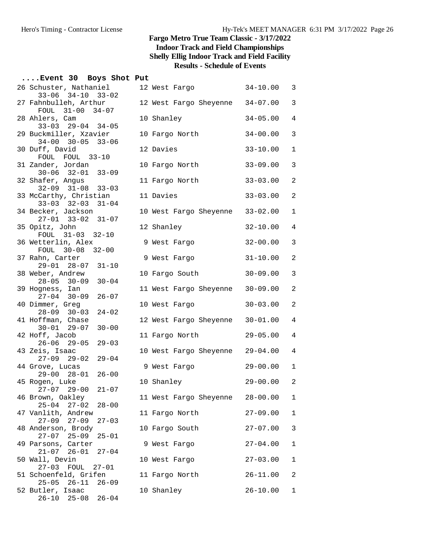#### **....Event 30 Boys Shot Put**

| 26 Schuster, Nathaniel<br>$33-06$ $34-10$ $33-02$                      | 12 West Fargo                     | $34 - 10.00$                 | $\overline{3}$                          |
|------------------------------------------------------------------------|-----------------------------------|------------------------------|-----------------------------------------|
| 27 Fahnbulleh, Arthur<br>FOUL 31-00 34-07                              | 12 West Fargo Sheyenne 34-07.00   |                              | 3                                       |
| 28 Ahlers, Cam<br>$33-03$ $29-04$ $34-05$                              | 10 Shanley                        | $34 - 05.00$                 | $\overline{4}$                          |
| 29 Buckmiller, Xzavier<br>$34 - 00$ $30 - 05$ $33 - 06$                | 10 Fargo North                    | $34 - 00.00$                 | $\mathbf{3}$                            |
| 30 Duff, David<br>FOUL FOUL 33-10                                      | 12 Davies                         | $33 - 10.00$                 | $\mathbf{1}$                            |
| 31 Zander, Jordan<br>$30 - 06$ $32 - 01$ $33 - 09$                     | 10 Fargo North                    | $33 - 09.00$                 | $\mathbf{3}$                            |
| 32 Shafer, Angus<br>$32-09$ $31-08$ $33-03$                            | 11 Fargo North                    | $33 - 03.00$                 | 2                                       |
| 33 McCarthy, Christian<br>$33-03$ $32-03$ $31-04$                      | 11 Davies                         | $33 - 03.00$                 | $\overline{2}$                          |
| 34 Becker, Jackson<br>27-01 33-02 31-07                                | 10 West Fargo Sheyenne 33-02.00   |                              | $\mathbf{1}$                            |
| 35 Opitz, John<br>FOUL 31-03 32-10                                     | 12 Shanley                        | $32 - 10.00$                 | $\overline{4}$                          |
| 36 Wetterlin, Alex<br>FOUL 30-08 32-00                                 | 9 West Fargo                      | $32 - 00.00$                 | $\mathbf{3}$                            |
| 37 Rahn, Carter<br>29-01 28-07 31-10                                   | 9 West Fargo                      | $31 - 10.00$                 | $\overline{a}$                          |
| 38 Weber, Andrew<br>$28 - 05$ 30-09<br>$30 - 04$                       | 10 Fargo South                    | $30 - 09.00$                 | $\mathbf{3}$                            |
| 39 Hogness, Ian<br>$27 - 04$ 30-09<br>$26 - 07$                        | 11 West Fargo Sheyenne            | $30 - 09.00$                 | $\overline{2}$                          |
| 40 Dimmer, Greg<br>$24 - 02$<br>$28 - 09$ 30-03                        | 10 West Fargo                     | $30 - 03.00$                 | $\overline{a}$                          |
| 41 Hoffman, Chase<br>$30 - 00$<br>$30 - 01$ 29-07                      | 12 West Fargo Sheyenne            | $30 - 01.00$                 | $\overline{4}$                          |
| 42 Hoff, Jacob<br>$29 - 03$<br>$26 - 06$ 29-05                         | 11 Fargo North                    | $29 - 05.00$                 | $\overline{4}$                          |
| 43 Zeis, Isaac<br>$27 - 09$ $29 - 02$<br>$29 - 04$                     | 10 West Fargo Sheyenne 29-04.00   |                              | $\overline{4}$                          |
| 44 Grove, Lucas<br>$29 - 00$ $28 - 01$<br>$26 - 00$                    | 9 West Fargo                      | $29 - 00.00$<br>$29 - 00.00$ | $\mathbf{1}$<br>2                       |
| 45 Rogen, Luke<br>$27 - 07$ 29-00<br>$21 - 07$                         | 10 Shanley                        |                              |                                         |
| 46 Brown, Oakley<br>$25 - 04$ 27-02<br>$28 - 00$<br>47 Vanlith, Andrew | 11 West Fargo Sheyenne 28-00.00 1 |                              |                                         |
| $27 - 09$ $27 - 09$<br>$27 - 03$<br>48 Anderson, Brody                 | 11 Fargo North<br>10 Fargo South  | $27 - 09.00$<br>$27 - 07.00$ | $\mathbf 1$<br>3                        |
| 27-07 25-09<br>$25 - 01$<br>49 Parsons, Carter                         | 9 West Fargo                      | $27 - 04.00$                 | 1                                       |
| $26 - 01$<br>$21 - 07$<br>$27 - 04$<br>50 Wall, Devin                  | 10 West Fargo                     | $27 - 03.00$                 |                                         |
| 27-03 FOUL<br>$27 - 01$<br>51 Schoenfeld, Grifen                       | 11 Fargo North                    | $26 - 11.00$                 | $\mathbf{1}$<br>$\overline{\mathbf{c}}$ |
| $25 - 05$ $26 - 11$<br>$26 - 09$                                       |                                   | $26 - 10.00$                 |                                         |
| 52 Butler, Isaac<br>$26 - 04$<br>$26 - 10$ $25 - 08$                   | 10 Shanley                        |                              | $\mathbf{1}$                            |